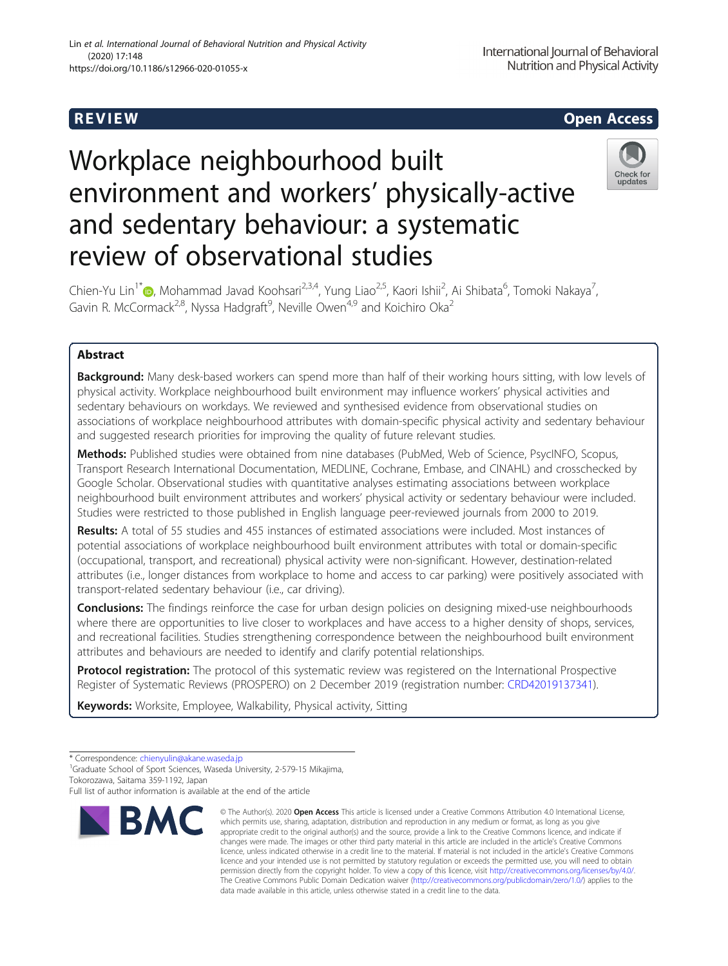# **REVIEW CONSTRUCTION CONTROL**

# Workplace neighbourhood built environment and workers' physically-active and sedentary behaviour: a systematic review of observational studies



Chien-Yu Lin<sup>1\*</sup>�[,](http://orcid.org/0000-0002-5263-8730) Mohammad Javad Koohsari<sup>2,3,4</sup>, Yung Liao<sup>2,5</sup>, Kaori Ishii<sup>2</sup>, Ai Shibata<sup>6</sup>, Tomoki Nakaya<sup>7</sup> , Gavin R. McCormack<sup>2,8</sup>, Nyssa Hadgraft<sup>9</sup>, Neville Owen<sup>4,9</sup> and Koichiro Oka<sup>2</sup>

# Abstract

**Background:** Many desk-based workers can spend more than half of their working hours sitting, with low levels of physical activity. Workplace neighbourhood built environment may influence workers' physical activities and sedentary behaviours on workdays. We reviewed and synthesised evidence from observational studies on associations of workplace neighbourhood attributes with domain-specific physical activity and sedentary behaviour and suggested research priorities for improving the quality of future relevant studies.

Methods: Published studies were obtained from nine databases (PubMed, Web of Science, PsycINFO, Scopus, Transport Research International Documentation, MEDLINE, Cochrane, Embase, and CINAHL) and crosschecked by Google Scholar. Observational studies with quantitative analyses estimating associations between workplace neighbourhood built environment attributes and workers' physical activity or sedentary behaviour were included. Studies were restricted to those published in English language peer-reviewed journals from 2000 to 2019.

Results: A total of 55 studies and 455 instances of estimated associations were included. Most instances of potential associations of workplace neighbourhood built environment attributes with total or domain-specific (occupational, transport, and recreational) physical activity were non-significant. However, destination-related attributes (i.e., longer distances from workplace to home and access to car parking) were positively associated with transport-related sedentary behaviour (i.e., car driving).

Conclusions: The findings reinforce the case for urban design policies on designing mixed-use neighbourhoods where there are opportunities to live closer to workplaces and have access to a higher density of shops, services, and recreational facilities. Studies strengthening correspondence between the neighbourhood built environment attributes and behaviours are needed to identify and clarify potential relationships.

**Protocol registration:** The protocol of this systematic review was registered on the International Prospective Register of Systematic Reviews (PROSPERO) on 2 December 2019 (registration number: [CRD42019137341](https://www.crd.york.ac.uk/prospero/display_record.php?RecordID=137341)).

Keywords: Worksite, Employee, Walkability, Physical activity, Sitting

<sup>1</sup>Graduate School of Sport Sciences, Waseda University, 2-579-15 Mikajima, Tokorozawa, Saitama 359-1192, Japan

Full list of author information is available at the end of the article



<sup>©</sup> The Author(s), 2020 **Open Access** This article is licensed under a Creative Commons Attribution 4.0 International License, which permits use, sharing, adaptation, distribution and reproduction in any medium or format, as long as you give appropriate credit to the original author(s) and the source, provide a link to the Creative Commons licence, and indicate if changes were made. The images or other third party material in this article are included in the article's Creative Commons licence, unless indicated otherwise in a credit line to the material. If material is not included in the article's Creative Commons licence and your intended use is not permitted by statutory regulation or exceeds the permitted use, you will need to obtain permission directly from the copyright holder. To view a copy of this licence, visit [http://creativecommons.org/licenses/by/4.0/.](http://creativecommons.org/licenses/by/4.0/) The Creative Commons Public Domain Dedication waiver [\(http://creativecommons.org/publicdomain/zero/1.0/](http://creativecommons.org/publicdomain/zero/1.0/)) applies to the data made available in this article, unless otherwise stated in a credit line to the data.

<sup>\*</sup> Correspondence: [chienyulin@akane.waseda.jp](mailto:chienyulin@akane.waseda.jp) <sup>1</sup>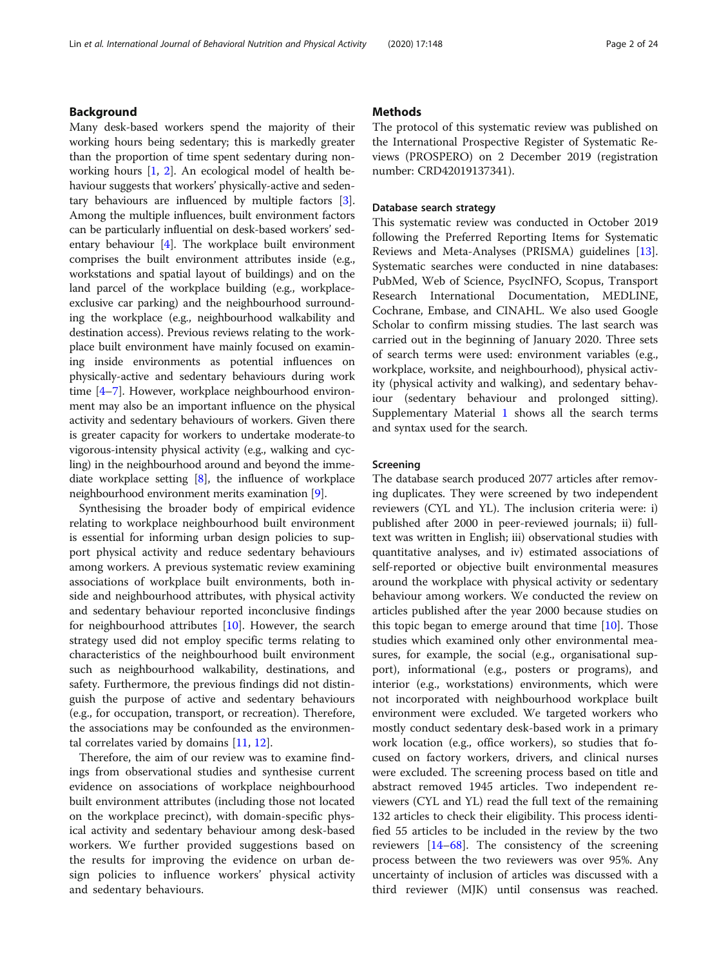# Background

Many desk-based workers spend the majority of their working hours being sedentary; this is markedly greater than the proportion of time spent sedentary during nonworking hours [\[1](#page-22-0), [2](#page-22-0)]. An ecological model of health behaviour suggests that workers' physically-active and sedentary behaviours are influenced by multiple factors [[3](#page-22-0)]. Among the multiple influences, built environment factors can be particularly influential on desk-based workers' sedentary behaviour [\[4](#page-22-0)]. The workplace built environment comprises the built environment attributes inside (e.g., workstations and spatial layout of buildings) and on the land parcel of the workplace building (e.g., workplaceexclusive car parking) and the neighbourhood surrounding the workplace (e.g., neighbourhood walkability and destination access). Previous reviews relating to the workplace built environment have mainly focused on examining inside environments as potential influences on physically-active and sedentary behaviours during work time [\[4](#page-22-0)–[7\]](#page-22-0). However, workplace neighbourhood environment may also be an important influence on the physical activity and sedentary behaviours of workers. Given there is greater capacity for workers to undertake moderate-to vigorous-intensity physical activity (e.g., walking and cycling) in the neighbourhood around and beyond the immediate workplace setting  $[8]$ , the influence of workplace neighbourhood environment merits examination [\[9](#page-22-0)].

Synthesising the broader body of empirical evidence relating to workplace neighbourhood built environment is essential for informing urban design policies to support physical activity and reduce sedentary behaviours among workers. A previous systematic review examining associations of workplace built environments, both inside and neighbourhood attributes, with physical activity and sedentary behaviour reported inconclusive findings for neighbourhood attributes [\[10](#page-22-0)]. However, the search strategy used did not employ specific terms relating to characteristics of the neighbourhood built environment such as neighbourhood walkability, destinations, and safety. Furthermore, the previous findings did not distinguish the purpose of active and sedentary behaviours (e.g., for occupation, transport, or recreation). Therefore, the associations may be confounded as the environmental correlates varied by domains [\[11](#page-22-0), [12\]](#page-22-0).

Therefore, the aim of our review was to examine findings from observational studies and synthesise current evidence on associations of workplace neighbourhood built environment attributes (including those not located on the workplace precinct), with domain-specific physical activity and sedentary behaviour among desk-based workers. We further provided suggestions based on the results for improving the evidence on urban design policies to influence workers' physical activity and sedentary behaviours.

# **Methods**

The protocol of this systematic review was published on the International Prospective Register of Systematic Reviews (PROSPERO) on 2 December 2019 (registration number: CRD42019137341).

#### Database search strategy

This systematic review was conducted in October 2019 following the Preferred Reporting Items for Systematic Reviews and Meta-Analyses (PRISMA) guidelines [\[13](#page-22-0)]. Systematic searches were conducted in nine databases: PubMed, Web of Science, PsycINFO, Scopus, Transport Research International Documentation, MEDLINE, Cochrane, Embase, and CINAHL. We also used Google Scholar to confirm missing studies. The last search was carried out in the beginning of January 2020. Three sets of search terms were used: environment variables (e.g., workplace, worksite, and neighbourhood), physical activity (physical activity and walking), and sedentary behaviour (sedentary behaviour and prolonged sitting). Supplementary Material [1](#page-21-0) shows all the search terms and syntax used for the search.

# Screening

The database search produced 2077 articles after removing duplicates. They were screened by two independent reviewers (CYL and YL). The inclusion criteria were: i) published after 2000 in peer-reviewed journals; ii) fulltext was written in English; iii) observational studies with quantitative analyses, and iv) estimated associations of self-reported or objective built environmental measures around the workplace with physical activity or sedentary behaviour among workers. We conducted the review on articles published after the year 2000 because studies on this topic began to emerge around that time [[10\]](#page-22-0). Those studies which examined only other environmental measures, for example, the social (e.g., organisational support), informational (e.g., posters or programs), and interior (e.g., workstations) environments, which were not incorporated with neighbourhood workplace built environment were excluded. We targeted workers who mostly conduct sedentary desk-based work in a primary work location (e.g., office workers), so studies that focused on factory workers, drivers, and clinical nurses were excluded. The screening process based on title and abstract removed 1945 articles. Two independent reviewers (CYL and YL) read the full text of the remaining 132 articles to check their eligibility. This process identified 55 articles to be included in the review by the two reviewers  $[14–68]$  $[14–68]$  $[14–68]$  $[14–68]$  $[14–68]$ . The consistency of the screening process between the two reviewers was over 95%. Any uncertainty of inclusion of articles was discussed with a third reviewer (MJK) until consensus was reached.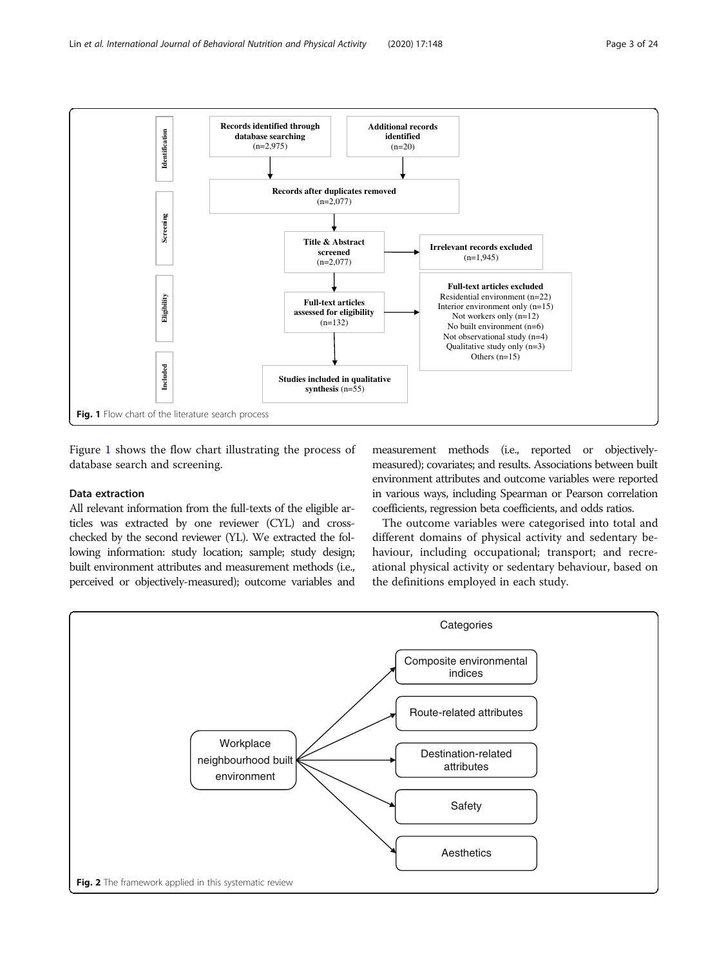<span id="page-2-0"></span>

Figure 1 shows the flow chart illustrating the process of database search and screening.

# Data extraction

All relevant information from the full-texts of the eligible articles was extracted by one reviewer (CYL) and crosschecked by the second reviewer (YL). We extracted the following information: study location; sample; study design; built environment attributes and measurement methods (i.e., perceived or objectively-measured); outcome variables and

measurement methods (i.e., reported or objectivelymeasured); covariates; and results. Associations between built environment attributes and outcome variables were reported in various ways, including Spearman or Pearson correlation coefficients, regression beta coefficients, and odds ratios.

The outcome variables were categorised into total and different domains of physical activity and sedentary behaviour, including occupational; transport; and recreational physical activity or sedentary behaviour, based on the definitions employed in each study.

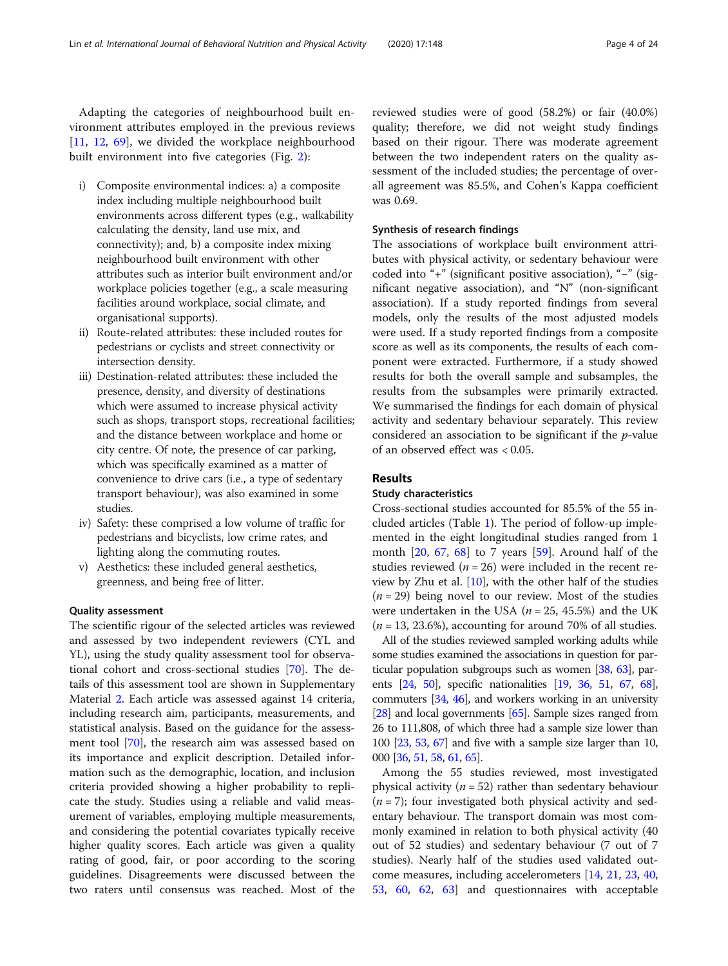Adapting the categories of neighbourhood built environment attributes employed in the previous reviews [[11,](#page-22-0) [12](#page-22-0), [69\]](#page-23-0), we divided the workplace neighbourhood built environment into five categories (Fig. [2\)](#page-2-0):

- i) Composite environmental indices: a) a composite index including multiple neighbourhood built environments across different types (e.g., walkability calculating the density, land use mix, and connectivity); and, b) a composite index mixing neighbourhood built environment with other attributes such as interior built environment and/or workplace policies together (e.g., a scale measuring facilities around workplace, social climate, and organisational supports).
- ii) Route-related attributes: these included routes for pedestrians or cyclists and street connectivity or intersection density.
- iii) Destination-related attributes: these included the presence, density, and diversity of destinations which were assumed to increase physical activity such as shops, transport stops, recreational facilities; and the distance between workplace and home or city centre. Of note, the presence of car parking, which was specifically examined as a matter of convenience to drive cars (i.e., a type of sedentary transport behaviour), was also examined in some studies.
- iv) Safety: these comprised a low volume of traffic for pedestrians and bicyclists, low crime rates, and lighting along the commuting routes.
- v) Aesthetics: these included general aesthetics, greenness, and being free of litter.

#### Quality assessment

The scientific rigour of the selected articles was reviewed and assessed by two independent reviewers (CYL and YL), using the study quality assessment tool for observational cohort and cross-sectional studies [[70](#page-23-0)]. The details of this assessment tool are shown in Supplementary Material [2.](#page-21-0) Each article was assessed against 14 criteria, including research aim, participants, measurements, and statistical analysis. Based on the guidance for the assessment tool [[70](#page-23-0)], the research aim was assessed based on its importance and explicit description. Detailed information such as the demographic, location, and inclusion criteria provided showing a higher probability to replicate the study. Studies using a reliable and valid measurement of variables, employing multiple measurements, and considering the potential covariates typically receive higher quality scores. Each article was given a quality rating of good, fair, or poor according to the scoring guidelines. Disagreements were discussed between the two raters until consensus was reached. Most of the

reviewed studies were of good (58.2%) or fair (40.0%) quality; therefore, we did not weight study findings based on their rigour. There was moderate agreement between the two independent raters on the quality assessment of the included studies; the percentage of overall agreement was 85.5%, and Cohen's Kappa coefficient was 0.69.

#### Synthesis of research findings

The associations of workplace built environment attributes with physical activity, or sedentary behaviour were coded into "+" (significant positive association), "−" (significant negative association), and "N" (non-significant association). If a study reported findings from several models, only the results of the most adjusted models were used. If a study reported findings from a composite score as well as its components, the results of each component were extracted. Furthermore, if a study showed results for both the overall sample and subsamples, the results from the subsamples were primarily extracted. We summarised the findings for each domain of physical activity and sedentary behaviour separately. This review considered an association to be significant if the p-value of an observed effect was < 0.05.

# Results

# Study characteristics

Cross-sectional studies accounted for 85.5% of the 55 included articles (Table [1](#page-4-0)). The period of follow-up implemented in the eight longitudinal studies ranged from 1 month [\[20](#page-22-0), [67](#page-23-0), [68\]](#page-23-0) to 7 years [[59\]](#page-23-0). Around half of the studies reviewed ( $n = 26$ ) were included in the recent review by Zhu et al.  $[10]$  $[10]$ , with the other half of the studies  $(n = 29)$  being novel to our review. Most of the studies were undertaken in the USA ( $n = 25$ , 45.5%) and the UK  $(n = 13, 23.6\%)$ , accounting for around 70% of all studies.

All of the studies reviewed sampled working adults while some studies examined the associations in question for particular population subgroups such as women [\[38](#page-23-0), [63\]](#page-23-0), parents [\[24,](#page-22-0) [50\]](#page-23-0), specific nationalities [\[19,](#page-22-0) [36,](#page-22-0) [51](#page-23-0), [67](#page-23-0), [68](#page-23-0)], commuters [[34](#page-22-0), [46](#page-23-0)], and workers working in an university [[28](#page-22-0)] and local governments [\[65](#page-23-0)]. Sample sizes ranged from 26 to 111,808, of which three had a sample size lower than 100 [\[23,](#page-22-0) [53](#page-23-0), [67\]](#page-23-0) and five with a sample size larger than 10, 000 [[36,](#page-22-0) [51,](#page-23-0) [58](#page-23-0), [61](#page-23-0), [65](#page-23-0)].

Among the 55 studies reviewed, most investigated physical activity ( $n = 52$ ) rather than sedentary behaviour  $(n = 7)$ ; four investigated both physical activity and sedentary behaviour. The transport domain was most commonly examined in relation to both physical activity (40 out of 52 studies) and sedentary behaviour (7 out of 7 studies). Nearly half of the studies used validated outcome measures, including accelerometers [\[14](#page-22-0), [21](#page-22-0), [23](#page-22-0), [40](#page-23-0), [53,](#page-23-0) [60,](#page-23-0) [62,](#page-23-0) [63](#page-23-0)] and questionnaires with acceptable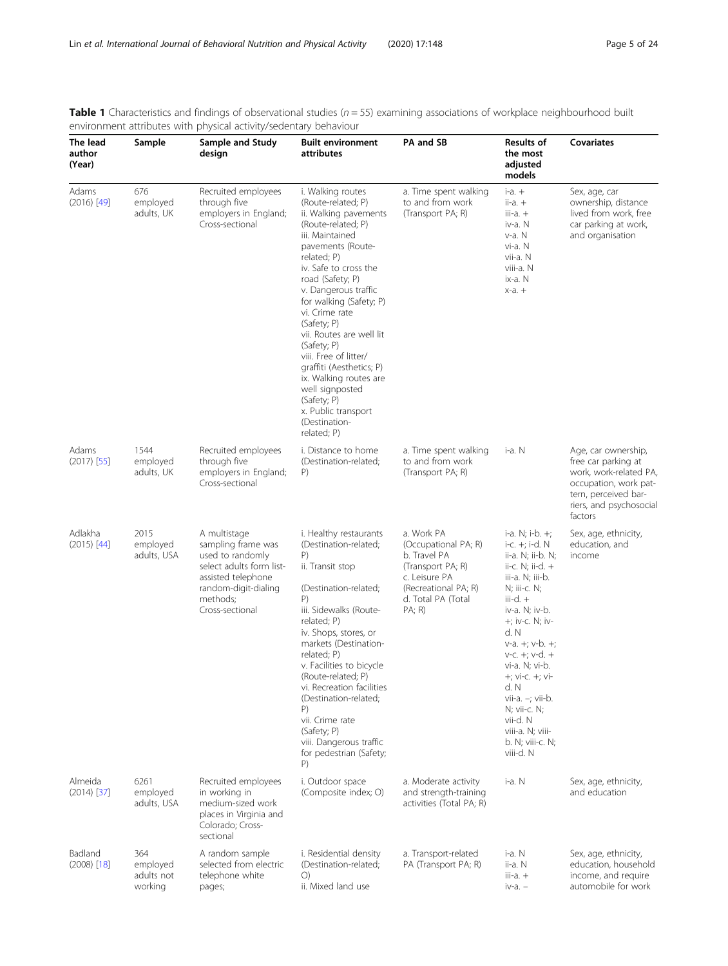<span id="page-4-0"></span>

| The lead<br>author<br>(Year) | Sample                                   | Sample and Study<br>design                                                                                                                                      | <b>Built environment</b><br>attributes                                                                                                                                                                                                                                                                                                                                                                                                                                                            | PA and SB                                                                                                                                       | <b>Results of</b><br>the most<br>adjusted<br>models                                                                                                                                                                                                                                                                                                                                          | Covariates                                                                                                                                                  |
|------------------------------|------------------------------------------|-----------------------------------------------------------------------------------------------------------------------------------------------------------------|---------------------------------------------------------------------------------------------------------------------------------------------------------------------------------------------------------------------------------------------------------------------------------------------------------------------------------------------------------------------------------------------------------------------------------------------------------------------------------------------------|-------------------------------------------------------------------------------------------------------------------------------------------------|----------------------------------------------------------------------------------------------------------------------------------------------------------------------------------------------------------------------------------------------------------------------------------------------------------------------------------------------------------------------------------------------|-------------------------------------------------------------------------------------------------------------------------------------------------------------|
| Adams<br>$(2016)$ [49]       | 676<br>employed<br>adults, UK            | Recruited employees<br>through five<br>employers in England;<br>Cross-sectional                                                                                 | i. Walking routes<br>(Route-related; P)<br>ii. Walking pavements<br>(Route-related; P)<br>iii. Maintained<br>pavements (Route-<br>related; P)<br>iv. Safe to cross the<br>road (Safety; P)<br>v. Dangerous traffic<br>for walking (Safety; P)<br>vi. Crime rate<br>(Safety; P)<br>vii. Routes are well lit<br>(Safety; P)<br>viii. Free of litter/<br>graffiti (Aesthetics; P)<br>ix. Walking routes are<br>well signposted<br>(Safety; P)<br>x. Public transport<br>(Destination-<br>related; P) | a. Time spent walking<br>to and from work<br>(Transport PA; R)                                                                                  | $i-a. +$<br>$ii-a. +$<br>$iii-a. +$<br>iv-a. N<br>v-a. N<br>vi-a. N<br>vii-a. N<br>viii-a. N<br>ix-a. N<br>$x-a. +$                                                                                                                                                                                                                                                                          | Sex, age, car<br>ownership, distance<br>lived from work, free<br>car parking at work,<br>and organisation                                                   |
| Adams<br>$(2017)$ [55]       | 1544<br>employed<br>adults, UK           | Recruited employees<br>through five<br>employers in England;<br>Cross-sectional                                                                                 | i. Distance to home<br>(Destination-related;<br>P)                                                                                                                                                                                                                                                                                                                                                                                                                                                | a. Time spent walking<br>to and from work<br>(Transport PA; R)                                                                                  | i-a. N                                                                                                                                                                                                                                                                                                                                                                                       | Age, car ownership,<br>free car parking at<br>work, work-related PA,<br>occupation, work pat-<br>tern, perceived bar-<br>riers, and psychosocial<br>factors |
| Adlakha<br>$(2015)$ [44]     | 2015<br>employed<br>adults, USA          | A multistage<br>sampling frame was<br>used to randomly<br>select adults form list-<br>assisted telephone<br>random-digit-dialing<br>methods;<br>Cross-sectional | i. Healthy restaurants<br>(Destination-related;<br>P)<br>ii. Transit stop<br>(Destination-related;<br>P)<br>iii. Sidewalks (Route-<br>related; P)<br>iv. Shops, stores, or<br>markets (Destination-<br>related; P)<br>v. Facilities to bicycle<br>(Route-related; P)<br>vi. Recreation facilities<br>(Destination-related;<br>P)<br>vii. Crime rate<br>(Safety; P)<br>viii. Dangerous traffic<br>for pedestrian (Safety;<br>P)                                                                    | a. Work PA<br>(Occupational PA; R)<br>b. Travel PA<br>(Transport PA; R)<br>c. Leisure PA<br>(Recreational PA; R)<br>d. Total PA (Total<br>PA; R | i-a. $N$ ; i-b. $+$ ;<br>$i$ -c. $+$ ; $i$ -d. N<br>ii-a. N; ii-b. N;<br>ii-c. N; ii-d. +<br>iii-a. N; iii-b.<br>N; iii-c. N;<br>$iii-d. +$<br>iv-a. N; iv-b.<br>+; iv-c. N; iv-<br>d. N<br>$v-a. +; v-b. +;$<br>$v-c. +; v-d. +$<br>vi-a. N; vi-b.<br>+; $Vi-C. +; Vi -$<br>d. N<br>vii-a. -; vii-b.<br>$N$ ; vii-c. $N$ ;<br>vii-d. N<br>viii-a. N; viii-<br>b. N; viii-c. N;<br>viii-d. N | Sex, age, ethnicity,<br>education, and<br>income                                                                                                            |
| Almeida<br>$(2014)$ [37]     | 6261<br>employed<br>adults, USA          | Recruited employees<br>in working in<br>medium-sized work<br>places in Virginia and<br>Colorado; Cross-<br>sectional                                            | i. Outdoor space<br>(Composite index; O)                                                                                                                                                                                                                                                                                                                                                                                                                                                          | a. Moderate activity<br>and strength-training<br>activities (Total PA; R)                                                                       | i-a. N                                                                                                                                                                                                                                                                                                                                                                                       | Sex, age, ethnicity,<br>and education                                                                                                                       |
| Badland<br>$(2008)$ [18]     | 364<br>employed<br>adults not<br>working | A random sample<br>selected from electric<br>telephone white<br>pages;                                                                                          | i. Residential density<br>(Destination-related;<br>O)<br>ii. Mixed land use                                                                                                                                                                                                                                                                                                                                                                                                                       | a. Transport-related<br>PA (Transport PA; R)                                                                                                    | i-a. N<br>ii-a. N<br>$iii-a. +$<br>$iv-a. -$                                                                                                                                                                                                                                                                                                                                                 | Sex, age, ethnicity,<br>education, household<br>income, and require<br>automobile for work                                                                  |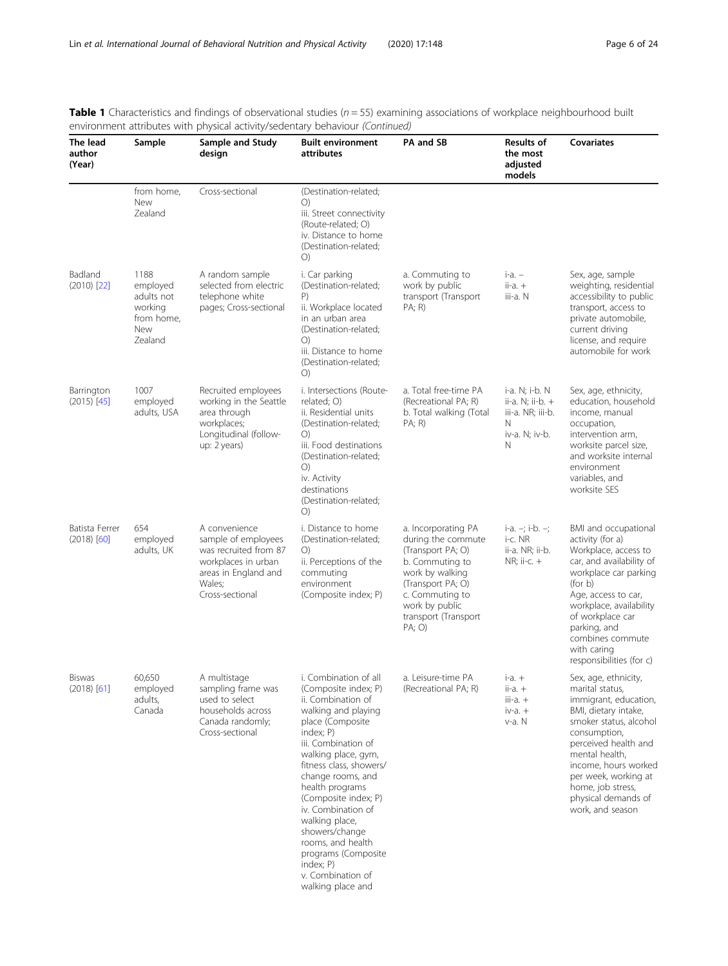| The lead<br>author<br>(Year)      | Sample                                                                    | Sample and Study<br>design                                                                                                                | <b>Built environment</b><br>attributes                                                                                                                                                                                                                                                                                                                                                                       | PA and SB                                                                                                                                                                                       | <b>Results of</b><br>the most<br>adjusted<br>models                                      | Covariates                                                                                                                                                                                                                                                                                   |
|-----------------------------------|---------------------------------------------------------------------------|-------------------------------------------------------------------------------------------------------------------------------------------|--------------------------------------------------------------------------------------------------------------------------------------------------------------------------------------------------------------------------------------------------------------------------------------------------------------------------------------------------------------------------------------------------------------|-------------------------------------------------------------------------------------------------------------------------------------------------------------------------------------------------|------------------------------------------------------------------------------------------|----------------------------------------------------------------------------------------------------------------------------------------------------------------------------------------------------------------------------------------------------------------------------------------------|
|                                   | from home,<br>New<br>Zealand                                              | Cross-sectional                                                                                                                           | (Destination-related;<br>O)<br>iii. Street connectivity<br>(Route-related; O)<br>iv. Distance to home<br>(Destination-related;<br>O)                                                                                                                                                                                                                                                                         |                                                                                                                                                                                                 |                                                                                          |                                                                                                                                                                                                                                                                                              |
| Badland<br>$(2010)$ [22]          | 1188<br>employed<br>adults not<br>working<br>from home,<br>New<br>Zealand | A random sample<br>selected from electric<br>telephone white<br>pages; Cross-sectional                                                    | i. Car parking<br>(Destination-related;<br>P)<br>ii. Workplace located<br>in an urban area<br>(Destination-related;<br>O)<br>iii. Distance to home<br>(Destination-related;<br>O)                                                                                                                                                                                                                            | a. Commuting to<br>work by public<br>transport (Transport<br>PA; R                                                                                                                              | $i-a. -$<br>$ii-a. +$<br>iii-a. N                                                        | Sex, age, sample<br>weighting, residential<br>accessibility to public<br>transport, access to<br>private automobile,<br>current driving<br>license, and require<br>automobile for work                                                                                                       |
| Barrington<br>$(2015)$ [45]       | 1007<br>employed<br>adults, USA                                           | Recruited employees<br>working in the Seattle<br>area through<br>workplaces;<br>Longitudinal (follow-<br>up: 2 years)                     | i. Intersections (Route-<br>related; O)<br>ii. Residential units<br>(Destination-related;<br>O)<br>iii. Food destinations<br>(Destination-related:<br>O)<br>iv. Activity<br>destinations<br>(Destination-related;<br>O)                                                                                                                                                                                      | a. Total free-time PA<br>(Recreational PA; R)<br>b. Total walking (Total<br>PA; R                                                                                                               | i-a. N; i-b. N<br>ii-a. $N$ ; ii-b. $+$<br>iii-a. NR; iii-b.<br>N<br>iv-a. N; iv-b.<br>N | Sex, age, ethnicity,<br>education, household<br>income, manual<br>occupation,<br>intervention arm,<br>worksite parcel size,<br>and worksite internal<br>environment<br>variables, and<br>worksite SES                                                                                        |
| Batista Ferrer<br>$(2018)$ $[60]$ | 654<br>employed<br>adults, UK                                             | A convenience<br>sample of employees<br>was recruited from 87<br>workplaces in urban<br>areas in England and<br>Wales;<br>Cross-sectional | i. Distance to home<br>(Destination-related;<br>O)<br>ii. Perceptions of the<br>commuting<br>environment<br>(Composite index; P)                                                                                                                                                                                                                                                                             | a. Incorporating PA<br>during the commute<br>(Transport PA; O)<br>b. Commuting to<br>work by walking<br>(Transport PA; O)<br>c. Commuting to<br>work by public<br>transport (Transport<br>PA; O | i-a. $-$ ; i-b. $-$ ;<br>i-c. NR<br>ii-a. NR; ii-b.<br>$NR$ ; ii-c. $+$                  | BMI and occupational<br>activity (for a)<br>Workplace, access to<br>car, and availability of<br>workplace car parking<br>(for b)<br>Age, access to car,<br>workplace, availability<br>of workplace car<br>parking, and<br>combines commute<br>with caring<br>responsibilities (for c)        |
| Biswas<br>$(2018)$ [61]           | 60,650<br>employed<br>adults,<br>Canada                                   | A multistage<br>sampling frame was<br>used to select<br>households across<br>Canada randomly;<br>Cross-sectional                          | i. Combination of all<br>(Composite index; P)<br>ii. Combination of<br>walking and playing<br>place (Composite<br>index; P)<br>iii. Combination of<br>walking place, gym,<br>fitness class, showers/<br>change rooms, and<br>health programs<br>(Composite index; P)<br>iv. Combination of<br>walking place,<br>showers/change<br>rooms, and health<br>programs (Composite<br>index; P)<br>v. Combination of | a. Leisure-time PA<br>(Recreational PA; R)                                                                                                                                                      | $i-a. +$<br>$ii-a. +$<br>$iii-a. +$<br>$iv-a. +$<br>v-a. N                               | Sex, age, ethnicity,<br>marital status,<br>immigrant, education,<br>BMI, dietary intake,<br>smoker status, alcohol<br>consumption,<br>perceived health and<br>mental health,<br>income, hours worked<br>per week, working at<br>home, job stress,<br>physical demands of<br>work, and season |

walking place and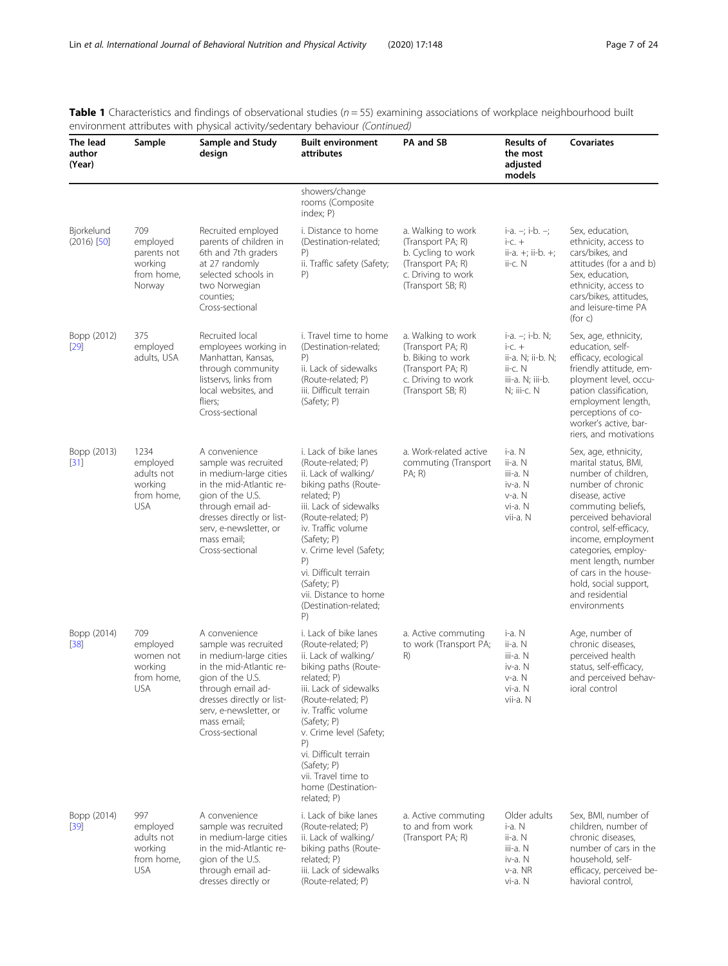| The lead<br>author<br>(Year) | Sample                                                                | Sample and Study<br>design                                                                                                                                                                                                   | <b>Built environment</b><br>attributes                                                                                                                                                                                                                                                                                               | PA and SB                                                                                                                     | <b>Results of</b><br>the most<br>adjusted<br>models                                               | Covariates                                                                                                                                                                                                                                                                                                                                    |
|------------------------------|-----------------------------------------------------------------------|------------------------------------------------------------------------------------------------------------------------------------------------------------------------------------------------------------------------------|--------------------------------------------------------------------------------------------------------------------------------------------------------------------------------------------------------------------------------------------------------------------------------------------------------------------------------------|-------------------------------------------------------------------------------------------------------------------------------|---------------------------------------------------------------------------------------------------|-----------------------------------------------------------------------------------------------------------------------------------------------------------------------------------------------------------------------------------------------------------------------------------------------------------------------------------------------|
|                              |                                                                       |                                                                                                                                                                                                                              | showers/change<br>rooms (Composite<br>index; P)                                                                                                                                                                                                                                                                                      |                                                                                                                               |                                                                                                   |                                                                                                                                                                                                                                                                                                                                               |
| Bjorkelund<br>$(2016)$ [50]  | 709<br>employed<br>parents not<br>working<br>from home,<br>Norway     | Recruited employed<br>parents of children in<br>6th and 7th graders<br>at 27 randomly<br>selected schools in<br>two Norwegian<br>counties;<br>Cross-sectional                                                                | i. Distance to home<br>(Destination-related;<br>P)<br>ii. Traffic safety (Safety;<br>P)                                                                                                                                                                                                                                              | a. Walking to work<br>(Transport PA; R)<br>b. Cycling to work<br>(Transport PA; R)<br>c. Driving to work<br>(Transport SB; R) | i-a. $-$ ; i-b. $-$ ;<br>$i$ -C. $+$<br>ii-a. $+$ ; ii-b. $+$ ;<br>ii-c. N                        | Sex, education,<br>ethnicity, access to<br>cars/bikes, and<br>attitudes (for a and b)<br>Sex, education,<br>ethnicity, access to<br>cars/bikes, attitudes,<br>and leisure-time PA<br>(for c)                                                                                                                                                  |
| Bopp (2012)<br>$[29]$        | 375<br>employed<br>adults, USA                                        | Recruited local<br>employees working in<br>Manhattan, Kansas,<br>through community<br>listservs, links from<br>local websites, and<br>fliers;<br>Cross-sectional                                                             | i. Travel time to home<br>(Destination-related;<br>P)<br>ii. Lack of sidewalks<br>(Route-related; P)<br>iii. Difficult terrain<br>(Safety; P)                                                                                                                                                                                        | a. Walking to work<br>(Transport PA; R)<br>b. Biking to work<br>(Transport PA; R)<br>c. Driving to work<br>(Transport SB; R)  | i-a. -; i-b. N;<br>$i$ -C. $+$<br>ii-a. N; ii-b. N;<br>ii-c. N<br>iii-a. N; iii-b.<br>N; iii-c. N | Sex, age, ethnicity,<br>education, self-<br>efficacy, ecological<br>friendly attitude, em-<br>ployment level, occu-<br>pation classification,<br>employment length,<br>perceptions of co-<br>worker's active, bar-<br>riers, and motivations                                                                                                  |
| Bopp (2013)<br>$[31]$        | 1234<br>employed<br>adults not<br>working<br>from home,<br><b>USA</b> | A convenience<br>sample was recruited<br>in medium-large cities<br>in the mid-Atlantic re-<br>gion of the U.S.<br>through email ad-<br>dresses directly or list-<br>serv, e-newsletter, or<br>mass email;<br>Cross-sectional | i. Lack of bike lanes<br>(Route-related; P)<br>ii. Lack of walking/<br>biking paths (Route-<br>related; P)<br>iii. Lack of sidewalks<br>(Route-related; P)<br>iv. Traffic volume<br>(Safety; P)<br>v. Crime level (Safety;<br>P)<br>vi. Difficult terrain<br>(Safety; P)<br>vii. Distance to home<br>(Destination-related;<br>P)     | a. Work-related active<br>commuting (Transport<br>PA; R                                                                       | i-a. N<br>ii-a. N<br>iii-a. N<br>iv-a. N<br>v-a. N<br>vi-a. N<br>vii-a. N                         | Sex, age, ethnicity,<br>marital status, BMI,<br>number of children.<br>number of chronic<br>disease, active<br>commuting beliefs,<br>perceived behavioral<br>control, self-efficacy,<br>income, employment<br>categories, employ-<br>ment length, number<br>of cars in the house-<br>hold, social support,<br>and residential<br>environments |
| Bopp (2014)<br>$[38]$        | 709<br>employed<br>women not<br>working<br>from home,<br><b>USA</b>   | A convenience<br>sample was recruited<br>in medium-large cities<br>in the mid-Atlantic re-<br>gion of the U.S.<br>through email ad-<br>dresses directly or list-<br>serv, e-newsletter, or<br>mass email;<br>Cross-sectional | i. Lack of bike lanes<br>(Route-related; P)<br>ii. Lack of walking/<br>biking paths (Route-<br>related; P)<br>iii. Lack of sidewalks<br>(Route-related: P)<br>iv. Traffic volume<br>(Safety; P)<br>v. Crime level (Safety;<br>P)<br>vi. Difficult terrain<br>(Safety; P)<br>vii. Travel time to<br>home (Destination-<br>related; P) | a. Active commuting<br>to work (Transport PA;<br>R)                                                                           | i-a. N<br>ii-a. N<br>iii-a. N<br>iv-a. N<br>v-a. N<br>vi-a. N<br>vii-a. N                         | Age, number of<br>chronic diseases,<br>perceived health<br>status, self-efficacy,<br>and perceived behav-<br>ioral control                                                                                                                                                                                                                    |
| Bopp (2014)<br>$[39]$        | 997<br>employed<br>adults not<br>working<br>from home,<br>USA.        | A convenience<br>sample was recruited<br>in medium-large cities<br>in the mid-Atlantic re-<br>gion of the U.S.<br>through email ad-<br>dresses directly or                                                                   | i. Lack of bike lanes<br>(Route-related; P)<br>ii. Lack of walking/<br>biking paths (Route-<br>related; P)<br>iii. Lack of sidewalks<br>(Route-related; P)                                                                                                                                                                           | a. Active commuting<br>to and from work<br>(Transport PA; R)                                                                  | Older adults<br>i-a. N<br>ii-a. N<br>iii-a. N<br>iv-a. N<br>v-a. NR<br>vi-a. N                    | Sex, BMI, number of<br>children, number of<br>chronic diseases,<br>number of cars in the<br>household, self-<br>efficacy, perceived be-<br>havioral control,                                                                                                                                                                                  |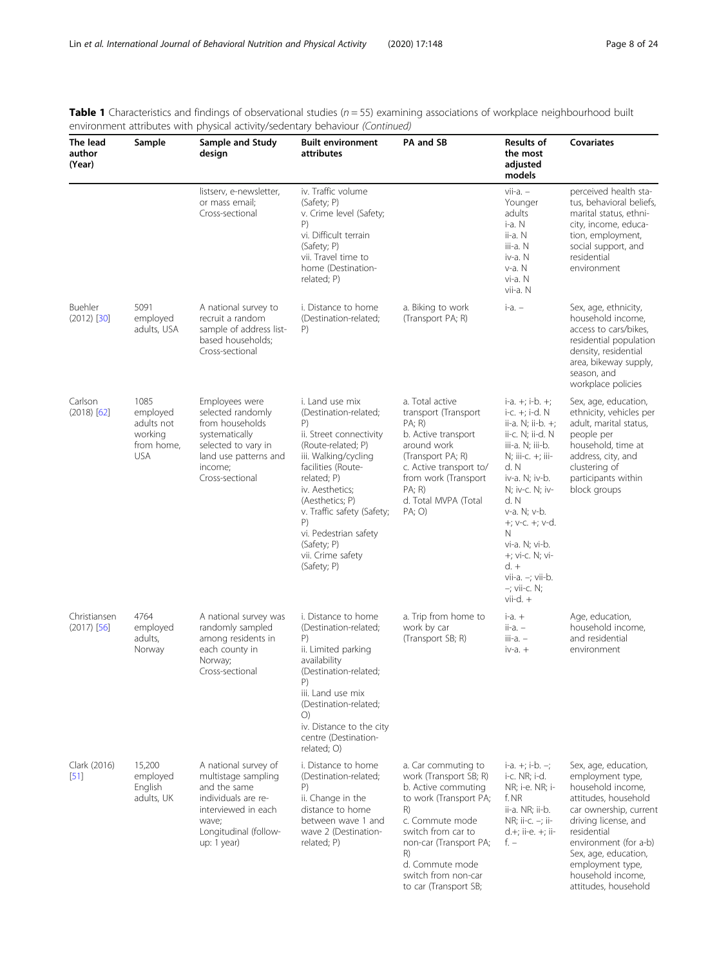| The lead<br>author<br>(Year)  | Sample                                                                | Sample and Study<br>design                                                                                                                                 | <b>Built environment</b><br>attributes                                                                                                                                                                                                                                                                             | PA and SB                                                                                                                                                                                                               | <b>Results of</b><br>the most<br>adjusted<br>models                                                                                                                                                                                                                                                                                           | Covariates                                                                                                                                                                                                                                       |
|-------------------------------|-----------------------------------------------------------------------|------------------------------------------------------------------------------------------------------------------------------------------------------------|--------------------------------------------------------------------------------------------------------------------------------------------------------------------------------------------------------------------------------------------------------------------------------------------------------------------|-------------------------------------------------------------------------------------------------------------------------------------------------------------------------------------------------------------------------|-----------------------------------------------------------------------------------------------------------------------------------------------------------------------------------------------------------------------------------------------------------------------------------------------------------------------------------------------|--------------------------------------------------------------------------------------------------------------------------------------------------------------------------------------------------------------------------------------------------|
|                               |                                                                       | listserv, e-newsletter,<br>or mass email;<br>Cross-sectional                                                                                               | iv. Traffic volume<br>(Safety; P)<br>v. Crime level (Safety;<br>P)<br>vi. Difficult terrain<br>(Safety; P)<br>vii. Travel time to<br>home (Destination-<br>related; P)                                                                                                                                             |                                                                                                                                                                                                                         | $vii-a. -$<br>Younger<br>adults<br>i-a. N<br>ii-a. N<br>iii-a. N<br>iv-a. N<br>v-a. N<br>vi-a. N<br>vii-a. N                                                                                                                                                                                                                                  | perceived health sta-<br>tus, behavioral beliefs,<br>marital status, ethni-<br>city, income, educa-<br>tion, employment,<br>social support, and<br>residential<br>environment                                                                    |
| Buehler<br>$(2012)$ [30]      | 5091<br>employed<br>adults, USA                                       | A national survey to<br>recruit a random<br>sample of address list-<br>based households;<br>Cross-sectional                                                | i. Distance to home<br>(Destination-related;<br>P)                                                                                                                                                                                                                                                                 | a. Biking to work<br>(Transport PA; R)                                                                                                                                                                                  | $i-a. -$                                                                                                                                                                                                                                                                                                                                      | Sex, age, ethnicity,<br>household income,<br>access to cars/bikes,<br>residential population<br>density, residential<br>area, bikeway supply,<br>season, and<br>workplace policies                                                               |
| Carlson<br>$(2018)$ [62]      | 1085<br>employed<br>adults not<br>working<br>from home,<br><b>USA</b> | Employees were<br>selected randomly<br>from households<br>systematically<br>selected to vary in<br>land use patterns and<br>income;<br>Cross-sectional     | i. Land use mix<br>(Destination-related;<br>P)<br>ii. Street connectivity<br>(Route-related; P)<br>iii. Walking/cycling<br>facilities (Route-<br>related; P)<br>iv. Aesthetics;<br>(Aesthetics; P)<br>v. Traffic safety (Safety;<br>P)<br>vi. Pedestrian safety<br>(Safety; P)<br>vii. Crime safety<br>(Safety; P) | a. Total active<br>transport (Transport<br>PA; R<br>b. Active transport<br>around work<br>(Transport PA; R)<br>c. Active transport to/<br>from work (Transport<br>PA; R<br>d. Total MVPA (Total<br>PA; O)               | $i-a. +; i-b. +;$<br>$i$ -c. $+$ ; $i$ -d. $N$<br>ii-a. N; ii-b. +;<br>ii-c. N; ii-d. N<br>iii-a. N; iii-b.<br>$N$ ; iii-c. +; iii-<br>d. N<br>iv-a. N; iv-b.<br>N; iv-c. N; iv-<br>d. N<br>v-a. N; v-b.<br>$+; v-c. +; v-d.$<br>N<br>vi-a. N; vi-b.<br>$+$ ; vi-c. N; vi-<br>d. +<br>vii-a. $-$ ; vii-b.<br>$-$ ; vii-c. $N$ ;<br>$vii-d. +$ | Sex, age, education,<br>ethnicity, vehicles per<br>adult, marital status,<br>people per<br>household, time at<br>address, city, and<br>clustering of<br>participants within<br>block groups                                                      |
| Christiansen<br>$(2017)$ [56] | 4764<br>employed<br>adults,<br>Norway                                 | A national survey was<br>randomly sampled<br>among residents in<br>each county in<br>Norway;<br>Cross-sectional                                            | i. Distance to home<br>(Destination-related;<br>P)<br>ii. Limited parking<br>availability<br>(Destination-related;<br>P)<br>iii. Land use mix<br>(Destination-related;<br>O)<br>iv. Distance to the city<br>centre (Destination-<br>related; O)                                                                    | a. Trip from home to<br>work by car<br>(Transport SB; R)                                                                                                                                                                | $i-a. +$<br>$ii-a. -$<br>$iii-a. -$<br>$iv-a. +$                                                                                                                                                                                                                                                                                              | Age, education,<br>household income,<br>and residential<br>environment                                                                                                                                                                           |
| Clark (2016)<br>[51]          | 15,200<br>employed<br>English<br>adults, UK                           | A national survey of<br>multistage sampling<br>and the same<br>individuals are re-<br>interviewed in each<br>wave;<br>Longitudinal (follow-<br>up: 1 year) | i. Distance to home<br>(Destination-related;<br>P)<br>ii. Change in the<br>distance to home<br>between wave 1 and<br>wave 2 (Destination-<br>related; P)                                                                                                                                                           | a. Car commuting to<br>work (Transport SB; R)<br>b. Active commuting<br>to work (Transport PA;<br>R)<br>c. Commute mode<br>switch from car to<br>non-car (Transport PA;<br>R)<br>d. Commute mode<br>switch from non-car | i-a. $+$ ; i-b. $-$ ;<br>i-c. NR; i-d.<br>NR; i-e. NR; i-<br>f. NR<br>ii-a. NR; ii-b.<br>NR; ii-c. -; ii-<br>$d.+$ ; ii-e. $+$ ; ii-<br>f. $-$                                                                                                                                                                                                | Sex, age, education,<br>employment type,<br>household income,<br>attitudes, household<br>car ownership, current<br>driving license, and<br>residential<br>environment (for a-b)<br>Sex, age, education,<br>employment type,<br>household income, |

to car (Transport SB;

attitudes, household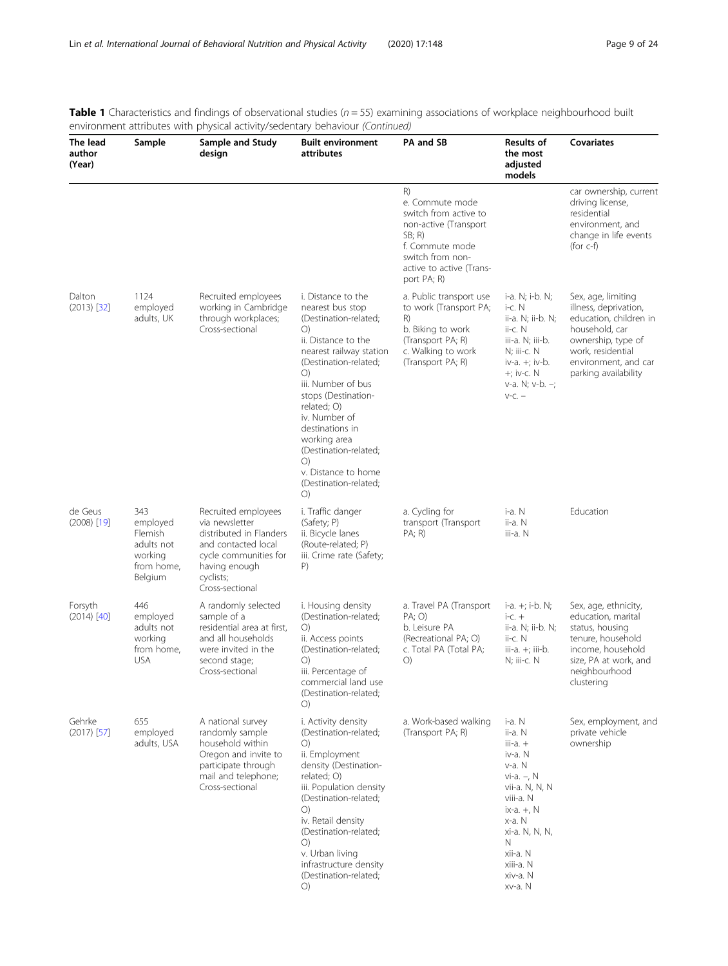| The lead<br>author<br>(Year) | Sample                                                                       | Sample and Study<br>design                                                                                                                                        | <b>Built environment</b><br>attributes                                                                                                                                                                                                                                                                                                                      | PA and SB                                                                                                                                                          | <b>Results of</b><br>the most<br>adjusted<br>models                                                                                                                                                   | Covariates                                                                                                                                                                         |
|------------------------------|------------------------------------------------------------------------------|-------------------------------------------------------------------------------------------------------------------------------------------------------------------|-------------------------------------------------------------------------------------------------------------------------------------------------------------------------------------------------------------------------------------------------------------------------------------------------------------------------------------------------------------|--------------------------------------------------------------------------------------------------------------------------------------------------------------------|-------------------------------------------------------------------------------------------------------------------------------------------------------------------------------------------------------|------------------------------------------------------------------------------------------------------------------------------------------------------------------------------------|
|                              |                                                                              |                                                                                                                                                                   |                                                                                                                                                                                                                                                                                                                                                             | R)<br>e. Commute mode<br>switch from active to<br>non-active (Transport<br>SB; R<br>f. Commute mode<br>switch from non-<br>active to active (Trans-<br>port PA; R) |                                                                                                                                                                                                       | car ownership, current<br>driving license,<br>residential<br>environment, and<br>change in life events<br>$(for c-f)$                                                              |
| Dalton<br>$(2013)$ [32]      | 1124<br>employed<br>adults, UK                                               | Recruited employees<br>working in Cambridge<br>through workplaces;<br>Cross-sectional                                                                             | i. Distance to the<br>nearest bus stop<br>(Destination-related;<br>O)<br>ii. Distance to the<br>nearest railway station<br>(Destination-related;<br>O)<br>iii. Number of bus<br>stops (Destination-<br>related; O)<br>iv. Number of<br>destinations in<br>working area<br>(Destination-related;<br>O)<br>v. Distance to home<br>(Destination-related;<br>O) | a. Public transport use<br>to work (Transport PA;<br>R)<br>b. Biking to work<br>(Transport PA; R)<br>c. Walking to work<br>(Transport PA; R)                       | i-a. N; i-b. N;<br>$i$ -c. $N$<br>ii-a. N; ii-b. N;<br>ii-c. N<br>iii-a. N; iii-b.<br>N; iii-c. N<br>$iv-a. +; iv-b.$<br>$+$ ; iv-c. N<br>$v-a. N; v-b. -;$<br>$V-C.$ -                               | Sex, age, limiting<br>illness, deprivation,<br>education, children in<br>household, car<br>ownership, type of<br>work, residential<br>environment, and car<br>parking availability |
| de Geus<br>$(2008)$ [19]     | 343<br>employed<br>Flemish<br>adults not<br>working<br>from home,<br>Belgium | Recruited employees<br>via newsletter<br>distributed in Flanders<br>and contacted local<br>cycle communities for<br>having enough<br>cyclists;<br>Cross-sectional | i. Traffic danger<br>(Safety; P)<br>ii. Bicycle lanes<br>(Route-related; P)<br>iii. Crime rate (Safety;<br>P)                                                                                                                                                                                                                                               | a. Cycling for<br>transport (Transport<br>PA; R                                                                                                                    | i-a. N<br>ii-a. N<br>iii-a. N                                                                                                                                                                         | Education                                                                                                                                                                          |
| Forsyth<br>$(2014)$ [40]     | 446<br>employed<br>adults not<br>working<br>from home,<br><b>USA</b>         | A randomly selected<br>sample of a<br>residential area at first,<br>and all households<br>were invited in the<br>second stage;<br>Cross-sectional                 | i. Housing density<br>(Destination-related;<br>O)<br>ii. Access points<br>(Destination-related;<br>O)<br>iii. Percentage of<br>commercial land use<br>(Destination-related;<br>O)                                                                                                                                                                           | a. Travel PA (Transport<br>PA; O<br>b. Leisure PA<br>(Recreational PA; O)<br>c. Total PA (Total PA;<br>O)                                                          | i-a. $+$ ; i-b. N;<br>$i$ -C. $+$<br>ii-a. $N$ ; ii-b. $N$ ;<br>ii-c. N<br>iii-a. $+$ ; iii-b.<br>N; iii-c. N                                                                                         | Sex, age, ethnicity,<br>education, marital<br>status, housing<br>tenure, household<br>income, household<br>size, PA at work, and<br>neighbourhood<br>clustering                    |
| Gehrke<br>$(2017)$ [57]      | 655<br>employed<br>adults, USA                                               | A national survey<br>randomly sample<br>household within<br>Oregon and invite to<br>participate through<br>mail and telephone;<br>Cross-sectional                 | i. Activity density<br>(Destination-related;<br>O)<br>ii. Employment<br>density (Destination-<br>related; O)<br>iii. Population density<br>(Destination-related;<br>O)<br>iv. Retail density<br>(Destination-related;<br>O)<br>v. Urban living<br>infrastructure density<br>(Destination-related;<br>O)                                                     | a. Work-based walking<br>(Transport PA; R)                                                                                                                         | i-a. N<br>ii-a. N<br>$iii-a. +$<br>iv-a. N<br>v-a. N<br>$vi-a. -, N$<br>vii-a. N, N, N<br>viii-a. N<br>$ix-a. + N$<br>$x-a. N$<br>xi-a. N, N, N,<br>N<br>xii-a. N<br>xiii-a. N<br>xiv-a. N<br>xv-a. N | Sex, employment, and<br>private vehicle<br>ownership                                                                                                                               |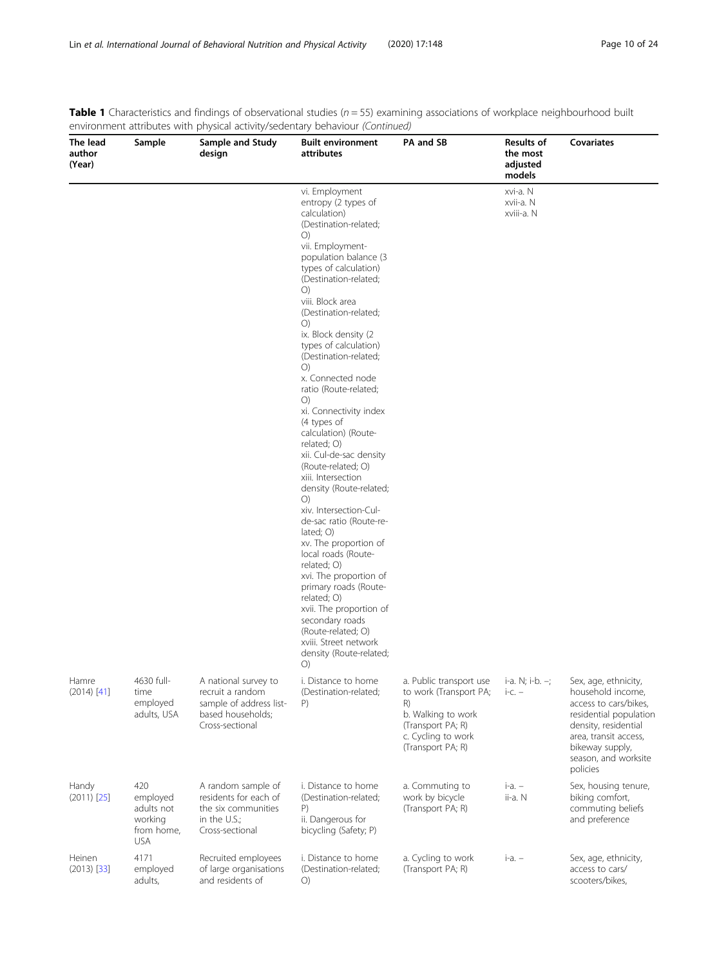| The lead<br>author<br>(Year) | Sample                                                               | Sample and Study<br>design                                                                                  | <b>Built environment</b><br>attributes                                                                                                                                                                                                                                                                                                                                                                                                                                                                                                                                                                                                                                                                                                                                                                                                                                                                    | PA and SB                                                                                                                                     | <b>Results of</b><br>the most<br>adjusted<br>models | Covariates                                                                                                                                                                                           |
|------------------------------|----------------------------------------------------------------------|-------------------------------------------------------------------------------------------------------------|-----------------------------------------------------------------------------------------------------------------------------------------------------------------------------------------------------------------------------------------------------------------------------------------------------------------------------------------------------------------------------------------------------------------------------------------------------------------------------------------------------------------------------------------------------------------------------------------------------------------------------------------------------------------------------------------------------------------------------------------------------------------------------------------------------------------------------------------------------------------------------------------------------------|-----------------------------------------------------------------------------------------------------------------------------------------------|-----------------------------------------------------|------------------------------------------------------------------------------------------------------------------------------------------------------------------------------------------------------|
|                              |                                                                      |                                                                                                             | vi. Employment<br>entropy (2 types of<br>calculation)<br>(Destination-related;<br>O)<br>vii. Employment-<br>population balance (3<br>types of calculation)<br>(Destination-related;<br>O)<br>viii. Block area<br>(Destination-related;<br>O)<br>ix. Block density (2<br>types of calculation)<br>(Destination-related;<br>O)<br>x. Connected node<br>ratio (Route-related;<br>O)<br>xi. Connectivity index<br>(4 types of<br>calculation) (Route-<br>related: O)<br>xii. Cul-de-sac density<br>(Route-related; O)<br>xiii. Intersection<br>density (Route-related;<br>O)<br>xiv. Intersection-Cul-<br>de-sac ratio (Route-re-<br>lated; O)<br>xv. The proportion of<br>local roads (Route-<br>related; O)<br>xvi. The proportion of<br>primary roads (Route-<br>related; O)<br>xvii. The proportion of<br>secondary roads<br>(Route-related; O)<br>xviii. Street network<br>density (Route-related;<br>O) |                                                                                                                                               | xvi-a. N<br>xvii-a. N<br>xviii-a. N                 |                                                                                                                                                                                                      |
| Hamre<br>$(2014)$ [41]       | 4630 full-<br>time<br>employed<br>adults, USA                        | A national survey to<br>recruit a random<br>sample of address list-<br>based households;<br>Cross-sectional | i. Distance to home<br>(Destination-related;<br>P)                                                                                                                                                                                                                                                                                                                                                                                                                                                                                                                                                                                                                                                                                                                                                                                                                                                        | a. Public transport use<br>to work (Transport PA;<br>R)<br>b. Walking to work<br>(Transport PA; R)<br>c. Cycling to work<br>(Transport PA; R) | i-a. N; i-b. $-$ ;<br>$i$ -C. $-$                   | Sex, age, ethnicity,<br>household income,<br>access to cars/bikes,<br>residential population<br>density, residential<br>area, transit access,<br>bikeway supply,<br>season, and worksite<br>policies |
| Handy<br>$(2011)$ [25]       | 420<br>employed<br>adults not<br>working<br>from home,<br><b>USA</b> | A random sample of<br>residents for each of<br>the six communities<br>in the $U.S.;$<br>Cross-sectional     | i. Distance to home<br>(Destination-related;<br>P)<br>ii. Dangerous for<br>bicycling (Safety; P)                                                                                                                                                                                                                                                                                                                                                                                                                                                                                                                                                                                                                                                                                                                                                                                                          | a. Commuting to<br>work by bicycle<br>(Transport PA; R)                                                                                       | $i-a. -$<br>ii-a. N                                 | Sex, housing tenure,<br>biking comfort,<br>commuting beliefs<br>and preference                                                                                                                       |
| Heinen<br>$(2013)$ [33]      | 4171<br>employed<br>adults,                                          | Recruited employees<br>of large organisations<br>and residents of                                           | i. Distance to home<br>(Destination-related;<br>O)                                                                                                                                                                                                                                                                                                                                                                                                                                                                                                                                                                                                                                                                                                                                                                                                                                                        | a. Cycling to work<br>(Transport PA; R)                                                                                                       | $i-a. -$                                            | Sex, age, ethnicity,<br>access to cars/<br>scooters/bikes,                                                                                                                                           |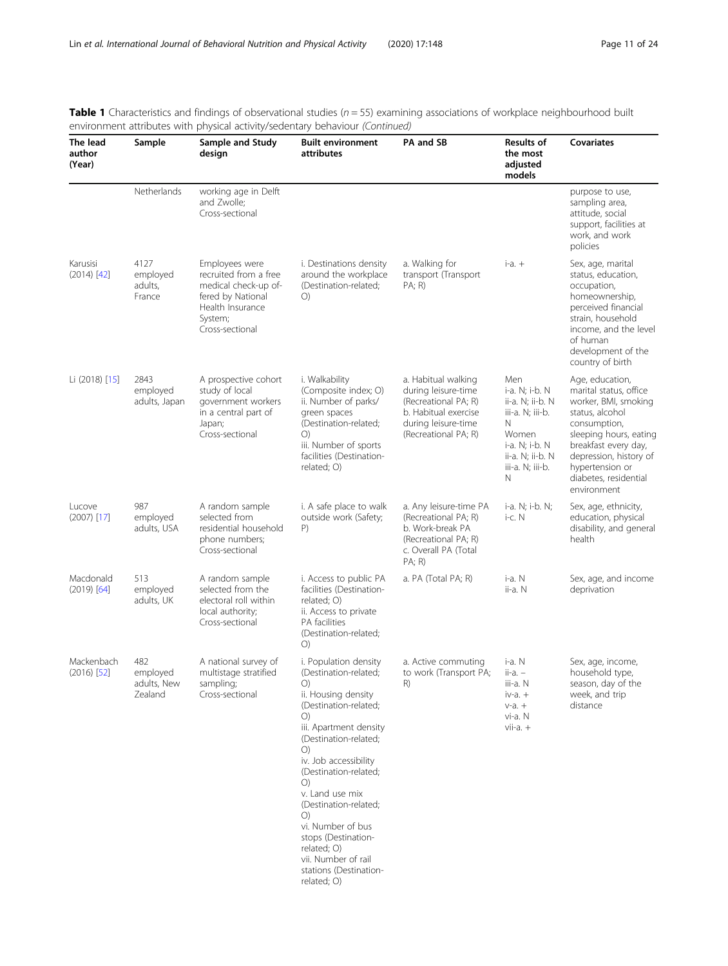| The lead<br>author<br>(Year) | Sample                                    | Sample and Study<br>design                                                                                                             | <b>Built environment</b><br>attributes                                                                                                                                                                                                                                                                                                                                                                   | PA and SB                                                                                                                                 | <b>Results of</b><br>the most<br>adjusted<br>models                                                                                        | Covariates                                                                                                                                                                                                                                  |
|------------------------------|-------------------------------------------|----------------------------------------------------------------------------------------------------------------------------------------|----------------------------------------------------------------------------------------------------------------------------------------------------------------------------------------------------------------------------------------------------------------------------------------------------------------------------------------------------------------------------------------------------------|-------------------------------------------------------------------------------------------------------------------------------------------|--------------------------------------------------------------------------------------------------------------------------------------------|---------------------------------------------------------------------------------------------------------------------------------------------------------------------------------------------------------------------------------------------|
|                              | Netherlands                               | working age in Delft<br>and Zwolle;<br>Cross-sectional                                                                                 |                                                                                                                                                                                                                                                                                                                                                                                                          |                                                                                                                                           |                                                                                                                                            | purpose to use,<br>sampling area,<br>attitude, social<br>support, facilities at<br>work, and work<br>policies                                                                                                                               |
| Karusisi<br>$(2014)$ [42]    | 4127<br>employed<br>adults,<br>France     | Employees were<br>recruited from a free<br>medical check-up of-<br>fered by National<br>Health Insurance<br>System;<br>Cross-sectional | i. Destinations density<br>around the workplace<br>(Destination-related;<br>O)                                                                                                                                                                                                                                                                                                                           | a. Walking for<br>transport (Transport<br>PA; R                                                                                           | $i-a. +$                                                                                                                                   | Sex, age, marital<br>status, education,<br>occupation,<br>homeownership,<br>perceived financial<br>strain, household<br>income, and the level<br>of human<br>development of the<br>country of birth                                         |
| Li (2018) [15]               | 2843<br>employed<br>adults, Japan         | A prospective cohort<br>study of local<br>government workers<br>in a central part of<br>Japan;<br>Cross-sectional                      | i. Walkability<br>(Composite index; O)<br>ii. Number of parks/<br>green spaces<br>(Destination-related;<br>O)<br>iii. Number of sports<br>facilities (Destination-<br>related; O)                                                                                                                                                                                                                        | a. Habitual walking<br>during leisure-time<br>(Recreational PA; R)<br>b. Habitual exercise<br>during leisure-time<br>(Recreational PA; R) | Men<br>i-a. N; i-b. N<br>ii-a. N; ii-b. N<br>iii-a. N; iii-b.<br>N<br>Women<br>i-a. N; i-b. N<br>ii-a. N; ii-b. N<br>iii-a. N; iii-b.<br>N | Age, education,<br>marital status, office<br>worker, BMI, smoking<br>status, alcohol<br>consumption,<br>sleeping hours, eating<br>breakfast every day,<br>depression, history of<br>hypertension or<br>diabetes, residential<br>environment |
| Lucove<br>$(2007)$ [17]      | 987<br>employed<br>adults, USA            | A random sample<br>selected from<br>residential household<br>phone numbers;<br>Cross-sectional                                         | i. A safe place to walk<br>outside work (Safety;<br>P)                                                                                                                                                                                                                                                                                                                                                   | a. Any leisure-time PA<br>(Recreational PA; R)<br>b. Work-break PA<br>(Recreational PA; R)<br>c. Overall PA (Total<br>PA; R               | i-a. $N$ ; i-b. $N$ ;<br>$i$ -c. $N$                                                                                                       | Sex, age, ethnicity,<br>education, physical<br>disability, and general<br>health                                                                                                                                                            |
| Macdonald<br>$(2019)$ [64]   | 513<br>employed<br>adults, UK             | A random sample<br>selected from the<br>electoral roll within<br>local authority;<br>Cross-sectional                                   | i. Access to public PA<br>facilities (Destination-<br>related; O)<br>ii. Access to private<br>PA facilities<br>(Destination-related;<br>O)                                                                                                                                                                                                                                                               | a. PA (Total PA; R)                                                                                                                       | i-a. N<br>ii-a. N                                                                                                                          | Sex, age, and income<br>deprivation                                                                                                                                                                                                         |
| Mackenbach<br>$(2016)$ [52]  | 482<br>employed<br>adults, New<br>Zealand | A national survey of<br>multistage stratified<br>sampling;<br>Cross-sectional                                                          | i. Population density<br>(Destination-related:<br>O)<br>ii. Housing density<br>(Destination-related;<br>O)<br>iii. Apartment density<br>(Destination-related;<br>O)<br>iv. Job accessibility<br>(Destination-related;<br>O)<br>v. Land use mix<br>(Destination-related;<br>O)<br>vi. Number of bus<br>stops (Destination-<br>related; O)<br>vii. Number of rail<br>stations (Destination-<br>related; O) | a. Active commuting<br>to work (Transport PA;<br>R)                                                                                       | i-a. N<br>$i$ i-a. $-$<br>iii-a. N<br>$iv-a. +$<br>$v-a. +$<br>vi-a. N<br>$vii-a. +$                                                       | Sex, age, income,<br>household type,<br>season, day of the<br>week, and trip<br>distance                                                                                                                                                    |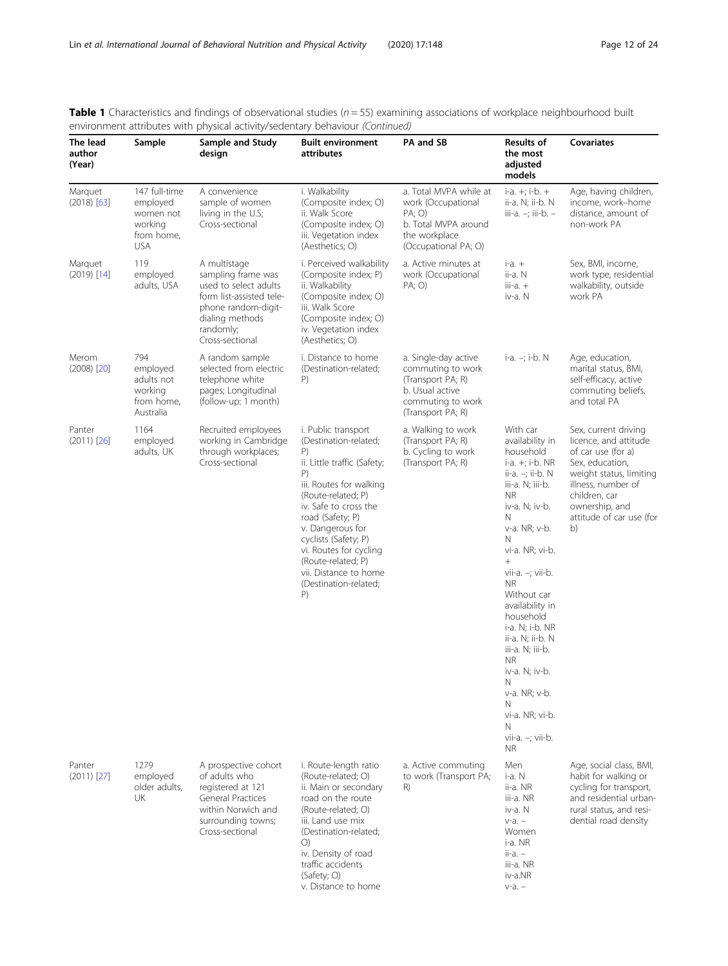| The lead<br>author<br>(Year) | Sample                                                                        | Sample and Study<br>design                                                                                                                                        | <b>Built environment</b><br>attributes                                                                                                                                                                                                                                                                                                    | PA and SB                                                                                                                   | <b>Results of</b><br>the most<br>adjusted<br>models                                                                                                                                                                                                                                                                                                                                                                                                                | Covariates                                                                                                                                                                                                   |
|------------------------------|-------------------------------------------------------------------------------|-------------------------------------------------------------------------------------------------------------------------------------------------------------------|-------------------------------------------------------------------------------------------------------------------------------------------------------------------------------------------------------------------------------------------------------------------------------------------------------------------------------------------|-----------------------------------------------------------------------------------------------------------------------------|--------------------------------------------------------------------------------------------------------------------------------------------------------------------------------------------------------------------------------------------------------------------------------------------------------------------------------------------------------------------------------------------------------------------------------------------------------------------|--------------------------------------------------------------------------------------------------------------------------------------------------------------------------------------------------------------|
| Marquet<br>$(2018)$ [63]     | 147 full-time<br>employed<br>women not<br>working<br>from home,<br><b>USA</b> | A convenience<br>sample of women<br>living in the U.S;<br>Cross-sectional                                                                                         | i. Walkability<br>(Composite index; O)<br>ii. Walk Score<br>(Composite index; O)<br>iii. Vegetation index<br>(Aesthetics; O)                                                                                                                                                                                                              | a. Total MVPA while at<br>work (Occupational<br>PA; O<br>b. Total MVPA around<br>the workplace<br>(Occupational PA; O)      | $i-a. +; i-b. +$<br>ii-a. N; ii-b. N<br>iii-a. $-$ ; iii-b. $-$                                                                                                                                                                                                                                                                                                                                                                                                    | Age, having children,<br>income, work-home<br>distance, amount of<br>non-work PA                                                                                                                             |
| Marquet<br>$(2019)$ [14]     | 119<br>employed<br>adults, USA                                                | A multistage<br>sampling frame was<br>used to select adults<br>form list-assisted tele-<br>phone random-digit-<br>dialing methods<br>randomly;<br>Cross-sectional | i. Perceived walkability<br>(Composite index; P)<br>ii. Walkability<br>(Composite index; O)<br>iii. Walk Score<br>(Composite index; O)<br>iv. Vegetation index<br>(Aesthetics; O)                                                                                                                                                         | a. Active minutes at<br>work (Occupational<br>PA; O)                                                                        | $i-a. +$<br>ii-a. N<br>$iii-a. +$<br>iv-a. N                                                                                                                                                                                                                                                                                                                                                                                                                       | Sex, BMI, income,<br>work type, residential<br>walkability, outside<br>work PA                                                                                                                               |
| Merom<br>$(2008)$ $[20]$     | 794<br>employed<br>adults not<br>working<br>from home,<br>Australia           | A random sample<br>selected from electric<br>telephone white<br>pages; Longitudinal<br>(follow-up: 1 month)                                                       | i. Distance to home<br>(Destination-related;<br>P)                                                                                                                                                                                                                                                                                        | a. Single-day active<br>commuting to work<br>(Transport PA; R)<br>b. Usual active<br>commuting to work<br>(Transport PA; R) | i-a. $-$ ; i-b. N                                                                                                                                                                                                                                                                                                                                                                                                                                                  | Age, education,<br>marital status, BMI,<br>self-efficacy, active<br>commuting beliefs,<br>and total PA                                                                                                       |
| Panter<br>$(2011)$ [26]      | 1164<br>employed<br>adults, UK                                                | Recruited employees<br>working in Cambridge<br>through workplaces;<br>Cross-sectional                                                                             | i. Public transport<br>(Destination-related;<br>P)<br>ii. Little traffic (Safety;<br>P)<br>iii. Routes for walking<br>(Route-related; P)<br>iv. Safe to cross the<br>road (Safety; P)<br>v. Dangerous for<br>cyclists (Safety; P)<br>vi. Routes for cycling<br>(Route-related; P)<br>vii. Distance to home<br>(Destination-related;<br>P) | a. Walking to work<br>(Transport PA; R)<br>b. Cycling to work<br>(Transport PA; R)                                          | With car<br>availability in<br>household<br>$i-a. +; i-b. NR$<br>ii-a. $-$ ; ii-b. N<br>iii-a. N; iii-b.<br><b>NR</b><br>iv-a. N; iv-b.<br>N<br>v-a. NR; v-b.<br>N<br>vi-a. NR; vi-b.<br>$+$<br>vii-a. $-$ ; vii-b.<br><b>NR</b><br>Without car<br>availability in<br>household<br>i-a. N; i-b. NR<br>ii-a. N; ii-b. N<br>iii-a. N; iii-b.<br><b>NR</b><br>iv-a. N; iv-b.<br>$\mathsf{N}$<br>v-a. NR; v-b.<br>N<br>vi-a. NR; vi-b.<br>N<br>vii-a. -; vii-b.<br>NR. | Sex, current driving<br>licence, and attitude<br>of car use (for a)<br>Sex, education,<br>weight status, limiting<br>illness, number of<br>children, car<br>ownership, and<br>attitude of car use (for<br>b) |
| Panter<br>$(2011)$ [27]      | 1279<br>employed<br>older adults,<br>UK                                       | A prospective cohort<br>of adults who<br>registered at 121<br>General Practices<br>within Norwich and<br>surrounding towns;<br>Cross-sectional                    | i. Route-length ratio<br>(Route-related; O)<br>ii. Main or secondary<br>road on the route<br>(Route-related; O)<br>iii. Land use mix<br>(Destination-related:<br>O)<br>iv. Density of road<br>traffic accidents<br>(Safety; O)<br>v. Distance to home                                                                                     | a. Active commuting<br>to work (Transport PA;<br>R)                                                                         | Men<br>i-a. N<br>ii-a. NR<br>iii-a. NR<br>iv-a. N<br>$v-a. -$<br>Women<br>i-a. NR<br>$ii-a. -$<br>iii-a. NR<br>iv-a.NR<br>$v-a. -$                                                                                                                                                                                                                                                                                                                                 | Age, social class, BMI,<br>habit for walking or<br>cycling for transport,<br>and residential urban-<br>rural status, and resi-<br>dential road density                                                       |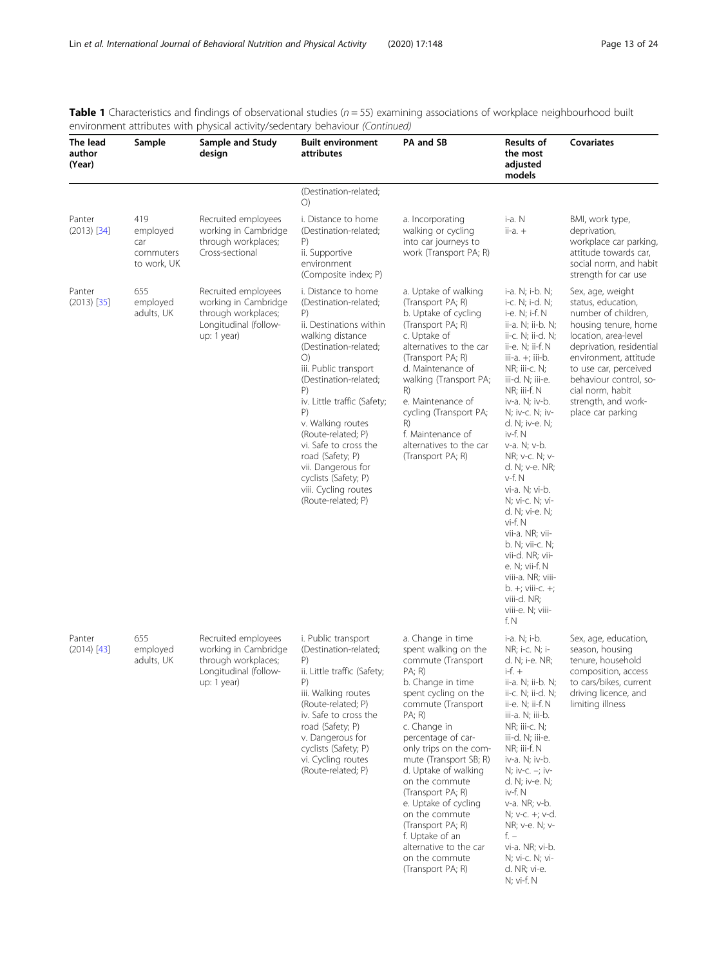| The lead<br>author<br>(Year) | Sample                                             | Sample and Study<br>design                                                                                 | <b>Built environment</b><br>attributes                                                                                                                                                                                                                                                                                                                                                                            | PA and SB                                                                                                                                                                                                                                                                                                                                                                                                                                                         | <b>Results of</b><br>the most<br>adjusted<br>models                                                                                                                                                                                                                                                                                                                                                                                                                                                                                                                         | Covariates                                                                                                                                                                                                                                                                            |
|------------------------------|----------------------------------------------------|------------------------------------------------------------------------------------------------------------|-------------------------------------------------------------------------------------------------------------------------------------------------------------------------------------------------------------------------------------------------------------------------------------------------------------------------------------------------------------------------------------------------------------------|-------------------------------------------------------------------------------------------------------------------------------------------------------------------------------------------------------------------------------------------------------------------------------------------------------------------------------------------------------------------------------------------------------------------------------------------------------------------|-----------------------------------------------------------------------------------------------------------------------------------------------------------------------------------------------------------------------------------------------------------------------------------------------------------------------------------------------------------------------------------------------------------------------------------------------------------------------------------------------------------------------------------------------------------------------------|---------------------------------------------------------------------------------------------------------------------------------------------------------------------------------------------------------------------------------------------------------------------------------------|
|                              |                                                    |                                                                                                            | (Destination-related;<br>O)                                                                                                                                                                                                                                                                                                                                                                                       |                                                                                                                                                                                                                                                                                                                                                                                                                                                                   |                                                                                                                                                                                                                                                                                                                                                                                                                                                                                                                                                                             |                                                                                                                                                                                                                                                                                       |
| Panter<br>$(2013)$ [34]      | 419<br>employed<br>car<br>commuters<br>to work, UK | Recruited employees<br>working in Cambridge<br>through workplaces;<br>Cross-sectional                      | i. Distance to home<br>(Destination-related;<br>P)<br>ii. Supportive<br>environment<br>(Composite index; P)                                                                                                                                                                                                                                                                                                       | a. Incorporating<br>walking or cycling<br>into car journeys to<br>work (Transport PA; R)                                                                                                                                                                                                                                                                                                                                                                          | i-a. N<br>$ii-a. +$                                                                                                                                                                                                                                                                                                                                                                                                                                                                                                                                                         | BMI, work type,<br>deprivation,<br>workplace car parking,<br>attitude towards car,<br>social norm, and habit<br>strength for car use                                                                                                                                                  |
| Panter<br>$(2013)$ [35]      | 655<br>employed<br>adults, UK                      | Recruited employees<br>working in Cambridge<br>through workplaces;<br>Longitudinal (follow-<br>up: 1 year) | i. Distance to home<br>(Destination-related;<br>P)<br>ii. Destinations within<br>walking distance<br>(Destination-related;<br>O)<br>iii. Public transport<br>(Destination-related;<br>P)<br>iv. Little traffic (Safety;<br>P)<br>v. Walking routes<br>(Route-related; P)<br>vi. Safe to cross the<br>road (Safety; P)<br>vii. Dangerous for<br>cyclists (Safety; P)<br>viii. Cycling routes<br>(Route-related; P) | a. Uptake of walking<br>(Transport PA; R)<br>b. Uptake of cycling<br>(Transport PA; R)<br>c. Uptake of<br>alternatives to the car<br>(Transport PA; R)<br>d. Maintenance of<br>walking (Transport PA;<br>R)<br>e. Maintenance of<br>cycling (Transport PA;<br>R)<br>f. Maintenance of<br>alternatives to the car<br>(Transport PA; R)                                                                                                                             | i-a. N; i-b. N;<br>i-c. N; i-d. N;<br>i-e. N; i-f. N<br>ii-a. N; ii-b. N;<br>ii-c. N; ii-d. N;<br>ii-e. N; ii-f. N<br>iii-a. $+$ ; iii-b.<br>$NR$ ; iii-c. $N$ ;<br>iii-d. N; iii-e.<br>NR; iii-f. N<br>iv-a. N; iv-b.<br>N; iv-c. N; iv-<br>d. N; iv-e. N;<br>iv-f.N<br>v-a. N; v-b.<br>NR; v-c. N; v-<br>d. N; v-e. NR;<br>v-f.N<br>vi-a. N; vi-b.<br>N; vi-c. N; vi-<br>d. N; vi-e. N;<br>vi-f.N<br>vii-a. NR; vii-<br>b. N; vii-c. $N$ ;<br>vii-d. NR; vii-<br>e. N; vii-f. N<br>viii-a. NR; viii-<br>b. $+$ ; viii-c. $+$ ;<br>viii-d. NR;<br>viii-e. N; viii-<br>f. N | Sex, age, weight<br>status, education,<br>number of children,<br>housing tenure, home<br>location, area-level<br>deprivation, residential<br>environment, attitude<br>to use car, perceived<br>behaviour control, so-<br>cial norm, habit<br>strength, and work-<br>place car parking |
| Panter<br>$(2014)$ [43]      | 655<br>employed<br>adults, UK                      | Recruited employees<br>working in Cambridge<br>through workplaces;<br>Longitudinal (follow-<br>up: 1 year) | i. Public transport<br>(Destination-related;<br>P)<br>ii. Little traffic (Safety;<br>P)<br>iii. Walking routes<br>(Route-related; P)<br>iv. Safe to cross the<br>road (Safety; P)<br>v. Dangerous for<br>cyclists (Safety; P)<br>vi. Cycling routes<br>(Route-related; P)                                                                                                                                         | a. Change in time<br>spent walking on the<br>commute (Transport<br>PA; R)<br>b. Change in time<br>spent cycling on the<br>commute (Transport<br>PA; R<br>c. Change in<br>percentage of car-<br>only trips on the com-<br>mute (Transport SB; R)<br>d. Uptake of walking<br>on the commute<br>(Transport PA; R)<br>e. Uptake of cycling<br>on the commute<br>(Transport PA; R)<br>f. Uptake of an<br>alternative to the car<br>on the commute<br>(Transport PA; R) | i-a. N; i-b.<br>NR; i-c. N; i-<br>d. N; i-e. NR;<br>$i-f. +$<br>ii-a. N; ii-b. N;<br>ii-c. N; ii-d. N;<br>ii-e. N; ii-f. N<br>iii-a. N; iii-b.<br>$NR$ ; iii-c. $N$ ;<br>iii-d. N; iii-e.<br>NR; iii-f. N<br>iv-a. N; iv-b.<br>N; iv-c. -; iv-<br>d. N; iv-e. N;<br>iv-f.N<br>v-a. NR; v-b.<br>N; v-c. +; v-d.<br>NR; v-e. N; v-<br>$f -$<br>vi-a. NR; vi-b.<br>N; vi-c. N; vi-<br>d. NR; vi-e.                                                                                                                                                                             | Sex, age, education,<br>season, housing<br>tenure, household<br>composition, access<br>to cars/bikes, current<br>driving licence, and<br>limiting illness                                                                                                                             |

N; vi-f. N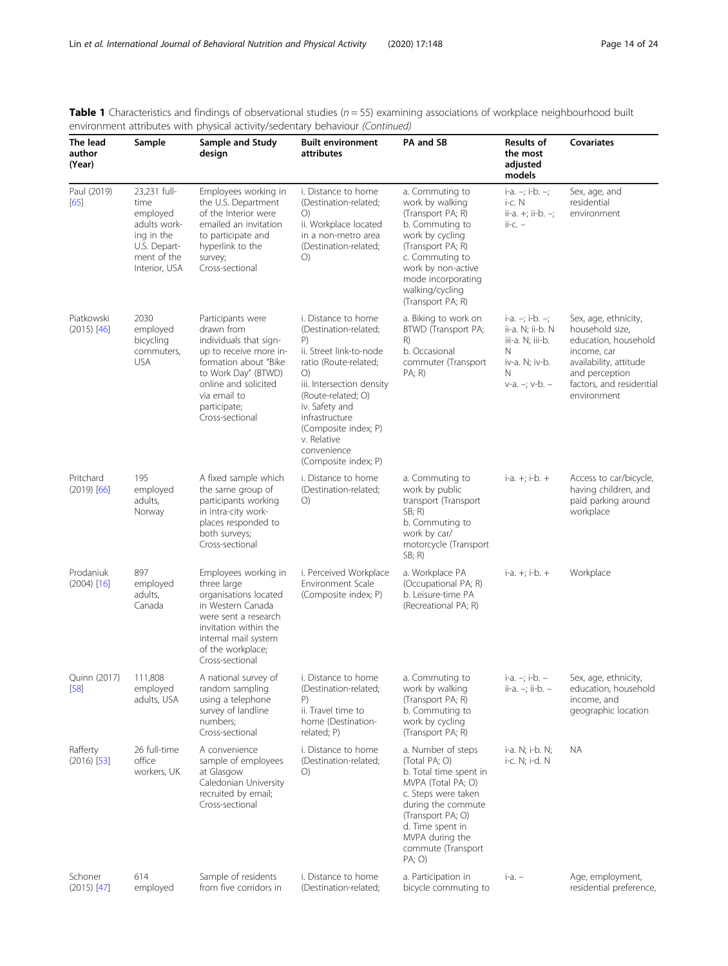| The lead<br>author<br>(Year) | Sample                                                                                                         | Sample and Study<br>design                                                                                                                                                                                     | <b>Built environment</b><br>attributes                                                                                                                                                                                                                                            | PA and SB                                                                                                                                                                                                                    | <b>Results of</b><br>the most<br>adjusted<br>models                                                           | Covariates                                                                                                                                                            |
|------------------------------|----------------------------------------------------------------------------------------------------------------|----------------------------------------------------------------------------------------------------------------------------------------------------------------------------------------------------------------|-----------------------------------------------------------------------------------------------------------------------------------------------------------------------------------------------------------------------------------------------------------------------------------|------------------------------------------------------------------------------------------------------------------------------------------------------------------------------------------------------------------------------|---------------------------------------------------------------------------------------------------------------|-----------------------------------------------------------------------------------------------------------------------------------------------------------------------|
| Paul (2019)<br>[65]          | 23,231 full-<br>time<br>employed<br>adults work-<br>ing in the<br>U.S. Depart-<br>ment of the<br>Interior, USA | Employees working in<br>the U.S. Department<br>of the Interior were<br>emailed an invitation<br>to participate and<br>hyperlink to the<br>survey;<br>Cross-sectional                                           | i. Distance to home<br>(Destination-related;<br>O)<br>ii. Workplace located<br>in a non-metro area<br>(Destination-related;<br>O)                                                                                                                                                 | a. Commuting to<br>work by walking<br>(Transport PA; R)<br>b. Commuting to<br>work by cycling<br>(Transport PA; R)<br>c. Commuting to<br>work by non-active<br>mode incorporating<br>walking/cycling<br>(Transport PA; R)    | $i-a. -; i-b. -;$<br>i-c. N<br>ii-a. +; ii-b. $-$ ;<br>$i$ i-c. $-$                                           | Sex, age, and<br>residential<br>environment                                                                                                                           |
| Piatkowski<br>$(2015)$ [46]  | 2030<br>employed<br>bicycling<br>commuters,<br><b>USA</b>                                                      | Participants were<br>drawn from<br>individuals that sign-<br>up to receive more in-<br>formation about "Bike<br>to Work Day" (BTWD)<br>online and solicited<br>via email to<br>participate;<br>Cross-sectional | i. Distance to home<br>(Destination-related;<br>P)<br>ii. Street link-to-node<br>ratio (Route-related;<br>O)<br>iii. Intersection density<br>(Route-related; O)<br>iv. Safety and<br>infrastructure<br>(Composite index; P)<br>v. Relative<br>convenience<br>(Composite index; P) | a. Biking to work on<br>BTWD (Transport PA;<br>R)<br>b. Occasional<br>commuter (Transport<br>PA; R                                                                                                                           | i-a. $-$ ; i-b. $-$ ;<br>ii-a. N; ii-b. N<br>iii-a. N; iii-b.<br>Ν<br>iv-a. N; iv-b.<br>N<br>$v-a. -; v-b. -$ | Sex, age, ethnicity,<br>household size,<br>education, household<br>income, car<br>availability, attitude<br>and perception<br>factors, and residential<br>environment |
| Pritchard<br>$(2019)$ [66]   | 195<br>employed<br>adults,<br>Norway                                                                           | A fixed sample which<br>the same group of<br>participants working<br>in intra-city work-<br>places responded to<br>both surveys;<br>Cross-sectional                                                            | i. Distance to home<br>(Destination-related;<br>O)                                                                                                                                                                                                                                | a. Commuting to<br>work by public<br>transport (Transport<br>SB; R<br>b. Commuting to<br>work by car/<br>motorcycle (Transport<br>SB; R                                                                                      | $i-a. +; i-b. +$                                                                                              | Access to car/bicycle,<br>having children, and<br>paid parking around<br>workplace                                                                                    |
| Prodaniuk<br>$(2004)$ [16]   | 897<br>employed<br>adults,<br>Canada                                                                           | Employees working in<br>three large<br>organisations located<br>in Western Canada<br>were sent a research<br>invitation within the<br>internal mail system<br>of the workplace;<br>Cross-sectional             | i. Perceived Workplace<br>Environment Scale<br>(Composite index; P)                                                                                                                                                                                                               | a. Workplace PA<br>(Occupational PA; R)<br>b. Leisure-time PA<br>(Recreational PA; R)                                                                                                                                        | $i-a. +; i-b. +$                                                                                              | Workplace                                                                                                                                                             |
| Quinn (2017)<br>$[58]$       | 111,808<br>employed<br>adults, USA                                                                             | random sampling<br>using a telephone<br>survey of landline<br>numbers;<br>Cross-sectional                                                                                                                      | A national survey of i. Distance to home<br>(Destination-related;<br>P)<br>ii. Travel time to<br>home (Destination-<br>related; P)                                                                                                                                                | a. Commuting to<br>work by walking<br>(Transport PA; R)<br>b. Commuting to<br>work by cycling<br>(Transport PA; R)                                                                                                           | i-a. –; i-b. –<br>ii-a. $-$ ; ii-b. $-$                                                                       | Sex, age, ethnicity,<br>education, household<br>income, and<br>geographic location                                                                                    |
| Rafferty<br>$(2016)$ [53]    | 26 full-time<br>office<br>workers, UK                                                                          | A convenience<br>sample of employees<br>at Glasgow<br>Caledonian University<br>recruited by email;<br>Cross-sectional                                                                                          | i. Distance to home<br>(Destination-related;<br>O)                                                                                                                                                                                                                                | a. Number of steps<br>(Total PA; O)<br>b. Total time spent in<br>MVPA (Total PA; O)<br>c. Steps were taken<br>during the commute<br>(Transport PA; O)<br>d. Time spent in<br>MVPA during the<br>commute (Transport<br>PA; O) | i-a. $N$ ; i-b. $N$ ;<br>i-c. N; i-d. N                                                                       | <b>NA</b>                                                                                                                                                             |
| Schoner<br>$(2015)$ [47]     | 614<br>employed                                                                                                | Sample of residents<br>from five corridors in                                                                                                                                                                  | i. Distance to home<br>(Destination-related;                                                                                                                                                                                                                                      | a. Participation in<br>bicycle commuting to                                                                                                                                                                                  | $i-a. -$                                                                                                      | Age, employment,<br>residential preference,                                                                                                                           |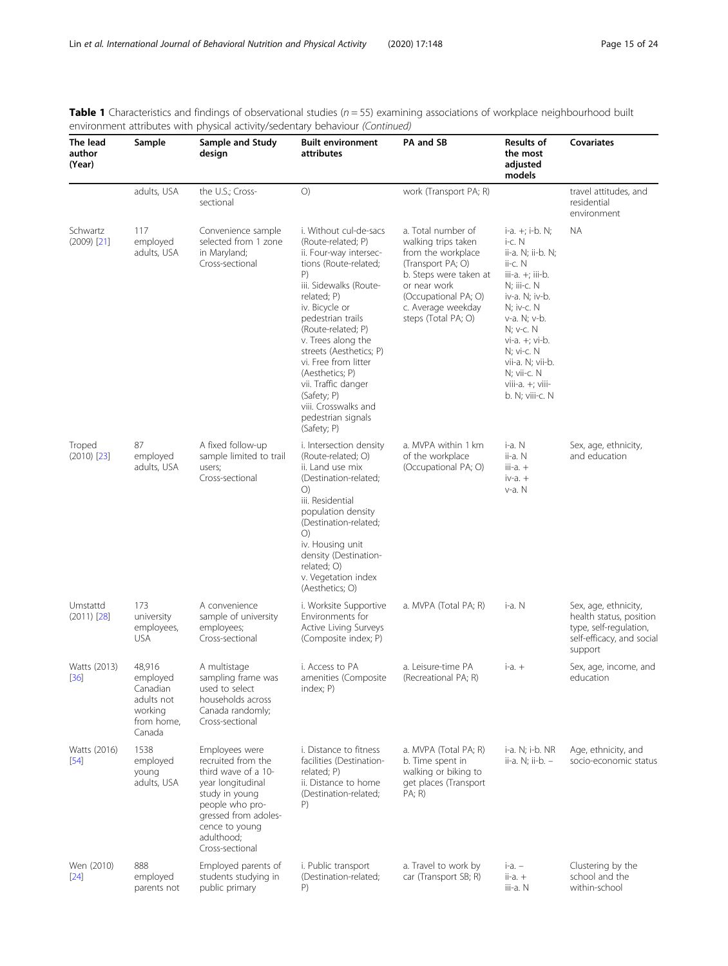| <b>Table 1</b> Characteristics and findings of observational studies ( $n = 55$ ) examining associations of workplace neighbourhood built |
|-------------------------------------------------------------------------------------------------------------------------------------------|
| environment attributes with physical activity/sedentary behaviour (Continued)                                                             |

| The lead<br>author<br>(Year) | Sample                                                                          | Sample and Study<br>design                                                                                                                                                                       | <b>Built environment</b><br>attributes                                                                                                                                                                                                                                                                                                                                                                     | PA and SB                                                                                                                                                                                           | <b>Results of</b><br>the most<br>adjusted<br>models                                                                                                                                                                                                                                      | Covariates                                                                                                        |
|------------------------------|---------------------------------------------------------------------------------|--------------------------------------------------------------------------------------------------------------------------------------------------------------------------------------------------|------------------------------------------------------------------------------------------------------------------------------------------------------------------------------------------------------------------------------------------------------------------------------------------------------------------------------------------------------------------------------------------------------------|-----------------------------------------------------------------------------------------------------------------------------------------------------------------------------------------------------|------------------------------------------------------------------------------------------------------------------------------------------------------------------------------------------------------------------------------------------------------------------------------------------|-------------------------------------------------------------------------------------------------------------------|
|                              | adults, USA                                                                     | the U.S.; Cross-<br>sectional                                                                                                                                                                    | O)                                                                                                                                                                                                                                                                                                                                                                                                         | work (Transport PA; R)                                                                                                                                                                              |                                                                                                                                                                                                                                                                                          | travel attitudes, and<br>residential<br>environment                                                               |
| Schwartz<br>$(2009)$ $[21]$  | 117<br>employed<br>adults, USA                                                  | Convenience sample<br>selected from 1 zone<br>in Maryland;<br>Cross-sectional                                                                                                                    | i. Without cul-de-sacs<br>(Route-related; P)<br>ii. Four-way intersec-<br>tions (Route-related;<br>P)<br>iii. Sidewalks (Route-<br>related; P)<br>iv. Bicycle or<br>pedestrian trails<br>(Route-related; P)<br>v. Trees along the<br>streets (Aesthetics; P)<br>vi. Free from litter<br>(Aesthetics; P)<br>vii. Traffic danger<br>(Safety; P)<br>viii. Crosswalks and<br>pedestrian signals<br>(Safety; P) | a. Total number of<br>walking trips taken<br>from the workplace<br>(Transport PA; O)<br>b. Steps were taken at<br>or near work<br>(Occupational PA; O)<br>c. Average weekday<br>steps (Total PA; O) | i-a. $+$ ; i-b. N;<br>$i$ -c. $N$<br>ii-a. N; ii-b. N;<br>ii-c. N<br>iii-a. $+$ ; iii-b.<br>N; iii-c. N<br>iv-a. N; iv-b.<br>$N$ ; iv-c. $N$<br>v-a. N; v-b.<br>N; v-c. N<br>$vi-a. +; vi-b.$<br>N; vi-c. N<br>vii-a. N; vii-b.<br>N; vii-c. N<br>viii-a. $+$ ; viii-<br>b. N; viii-c. N | ΝA                                                                                                                |
| Troped<br>$(2010)$ [23]      | 87<br>employed<br>adults, USA                                                   | A fixed follow-up<br>sample limited to trail<br>users;<br>Cross-sectional                                                                                                                        | i. Intersection density<br>(Route-related; O)<br>ii. Land use mix<br>(Destination-related;<br>O)<br>iii. Residential<br>population density<br>(Destination-related;<br>O)<br>iv. Housing unit<br>density (Destination-<br>related; O)<br>v. Vegetation index<br>(Aesthetics; O)                                                                                                                            | a. MVPA within 1 km<br>of the workplace<br>(Occupational PA; O)                                                                                                                                     | i-a. N<br>ii-a. N<br>$iii-a. +$<br>$iv-a. +$<br>v-a. N                                                                                                                                                                                                                                   | Sex, age, ethnicity,<br>and education                                                                             |
| Umstattd<br>$(2011)$ $[28]$  | 173<br>university<br>employees,<br><b>USA</b>                                   | A convenience<br>sample of university<br>employees;<br>Cross-sectional                                                                                                                           | i. Worksite Supportive<br>Environments for<br>Active Living Surveys<br>(Composite index; P)                                                                                                                                                                                                                                                                                                                | a. MVPA (Total PA; R)                                                                                                                                                                               | i-a. N                                                                                                                                                                                                                                                                                   | Sex, age, ethnicity,<br>health status, position<br>type, self-regulation,<br>self-efficacy, and social<br>support |
| Watts (2013)<br>$[36]$       | 48,916<br>employed<br>Canadian<br>adults not<br>working<br>from home,<br>Canada | A multistage<br>sampling frame was<br>used to select<br>households across<br>Canada randomly;<br>Cross-sectional                                                                                 | i. Access to PA<br>amenities (Composite<br>index; P)                                                                                                                                                                                                                                                                                                                                                       | a. Leisure-time PA<br>(Recreational PA: R)                                                                                                                                                          | $i-a. +$                                                                                                                                                                                                                                                                                 | Sex, age, income, and<br>education                                                                                |
| Watts (2016)<br>[54]         | 1538<br>employed<br>young<br>adults, USA                                        | Employees were<br>recruited from the<br>third wave of a 10-<br>year longitudinal<br>study in young<br>people who pro-<br>gressed from adoles-<br>cence to young<br>adulthood;<br>Cross-sectional | i. Distance to fitness<br>facilities (Destination-<br>related; P)<br>ii. Distance to home<br>(Destination-related;<br>P)                                                                                                                                                                                                                                                                                   | a. MVPA (Total PA; R)<br>b. Time spent in<br>walking or biking to<br>get places (Transport<br>PA; R                                                                                                 | i-a. N; i-b. NR<br>ii-a. N; ii-b. -                                                                                                                                                                                                                                                      | Age, ethnicity, and<br>socio-economic status                                                                      |
| Wen (2010)<br>$[24]$         | 888<br>employed<br>parents not                                                  | Employed parents of<br>students studying in<br>public primary                                                                                                                                    | i. Public transport<br>(Destination-related;<br>P)                                                                                                                                                                                                                                                                                                                                                         | a. Travel to work by<br>car (Transport SB; R)                                                                                                                                                       | $i-a. -$<br>$ii-a. +$<br>iii-a. N                                                                                                                                                                                                                                                        | Clustering by the<br>school and the<br>within-school                                                              |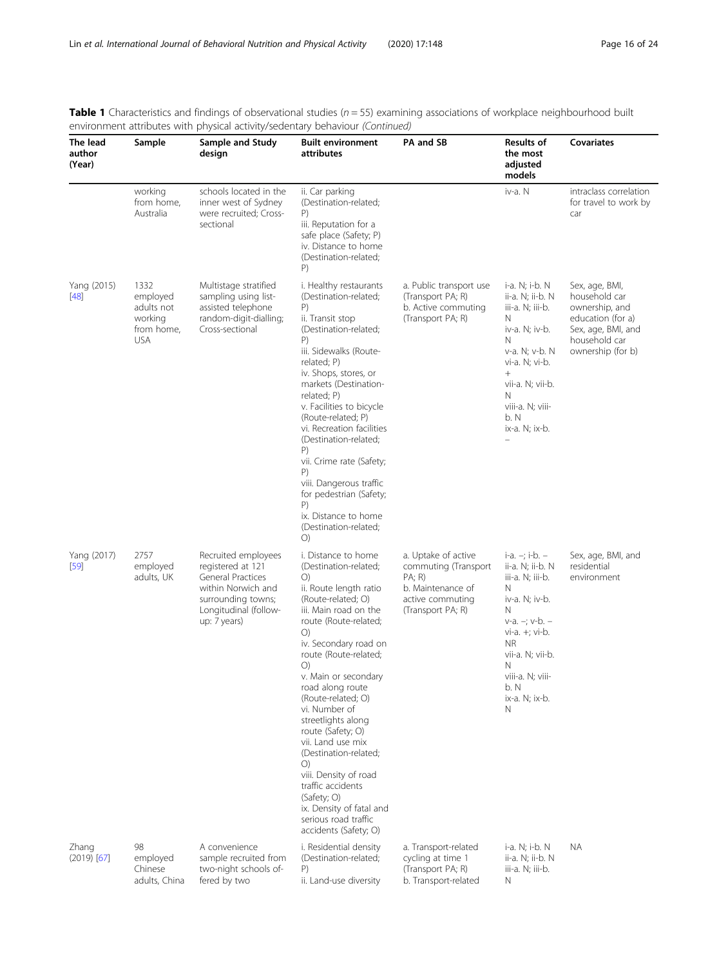| The lead<br>author<br>(Year) | Sample                                                                | Sample and Study<br>design                                                                                                                         | Christman attinues with physical activity scucritary behaviour (continueu)<br><b>Built environment</b><br>attributes                                                                                                                                                                                                                                                                                                                                                                                                                           | PA and SB                                                                                                          | Results of<br>the most<br>adjusted<br>models                                                                                                                                                                    | Covariates                                                                                                                         |
|------------------------------|-----------------------------------------------------------------------|----------------------------------------------------------------------------------------------------------------------------------------------------|------------------------------------------------------------------------------------------------------------------------------------------------------------------------------------------------------------------------------------------------------------------------------------------------------------------------------------------------------------------------------------------------------------------------------------------------------------------------------------------------------------------------------------------------|--------------------------------------------------------------------------------------------------------------------|-----------------------------------------------------------------------------------------------------------------------------------------------------------------------------------------------------------------|------------------------------------------------------------------------------------------------------------------------------------|
|                              | working<br>from home,<br>Australia                                    | schools located in the<br>inner west of Sydney<br>were recruited; Cross-<br>sectional                                                              | ii. Car parking<br>(Destination-related;<br>P)<br>iii. Reputation for a<br>safe place (Safety; P)<br>iv. Distance to home<br>(Destination-related;<br>P)                                                                                                                                                                                                                                                                                                                                                                                       |                                                                                                                    | iv-a. N                                                                                                                                                                                                         | intraclass correlation<br>for travel to work by<br>car                                                                             |
| Yang (2015)<br>$[48]$        | 1332<br>employed<br>adults not<br>working<br>from home,<br><b>USA</b> | Multistage stratified<br>sampling using list-<br>assisted telephone<br>random-digit-dialling;<br>Cross-sectional                                   | i. Healthy restaurants<br>(Destination-related;<br>P)<br>ii. Transit stop<br>(Destination-related;<br>P)<br>iii. Sidewalks (Route-<br>related; P)<br>iv. Shops, stores, or<br>markets (Destination-<br>related; P)<br>v. Facilities to bicycle<br>(Route-related; P)<br>vi. Recreation facilities<br>(Destination-related;<br>P)<br>vii. Crime rate (Safety;<br>P)<br>viii. Dangerous traffic<br>for pedestrian (Safety;<br>P)<br>ix. Distance to home<br>(Destination-related;<br>O)                                                          | a. Public transport use<br>(Transport PA; R)<br>b. Active commuting<br>(Transport PA; R)                           | i-a. N; i-b. N<br>ii-a. N; ii-b. N<br>iii-a. N; iii-b.<br>N<br>iv-a. N; iv-b.<br>N<br>v-a. N; v-b. N<br>vi-a. N; vi-b.<br>$^{+}$<br>vii-a. N; vii-b.<br>N<br>viii-a. N; viii-<br>b. N<br>ix-a. N; ix-b.         | Sex, age, BMI,<br>household car<br>ownership, and<br>education (for a)<br>Sex, age, BMI, and<br>household car<br>ownership (for b) |
| Yang (2017)<br>$[59]$        | 2757<br>employed<br>adults, UK                                        | Recruited employees<br>registered at 121<br>General Practices<br>within Norwich and<br>surrounding towns;<br>Longitudinal (follow-<br>up: 7 years) | i. Distance to home<br>(Destination-related;<br>O)<br>ii. Route length ratio<br>(Route-related; O)<br>iii. Main road on the<br>route (Route-related;<br>O)<br>iv. Secondary road on<br>route (Route-related;<br>O)<br>v. Main or secondary<br>road along route<br>(Route-related; O)<br>vi. Number of<br>streetlights along<br>route (Safety; O)<br>vii. Land use mix<br>(Destination-related:<br>O)<br>viii. Density of road<br>traffic accidents<br>(Safety; O)<br>ix. Density of fatal and<br>serious road traffic<br>accidents (Safety; O) | a. Uptake of active<br>commuting (Transport<br>PA; R<br>b. Maintenance of<br>active commuting<br>(Transport PA; R) | $i-a. =; i-b. =$<br>ii-a. N; ii-b. N<br>iii-a. N; iii-b.<br>Ν<br>iv-a. N; iv-b.<br>N<br>$v-a. -; v-b. -$<br>$vi-a. +; vi-b.$<br>NR.<br>vii-a. N; vii-b.<br>Ν<br>viii-a. N; viii-<br>b. N<br>ix-a. N; ix-b.<br>N | Sex, age, BMI, and<br>residential<br>environment                                                                                   |
| Zhang<br>$(2019)$ [67]       | 98<br>employed<br>Chinese<br>adults, China                            | A convenience<br>sample recruited from<br>two-night schools of-<br>fered by two                                                                    | i. Residential density<br>(Destination-related;<br>P)<br>ii. Land-use diversity                                                                                                                                                                                                                                                                                                                                                                                                                                                                | a. Transport-related<br>cycling at time 1<br>(Transport PA; R)<br>b. Transport-related                             | i-a. N; i-b. N<br>ii-a. N; ii-b. N<br>iii-a. N; iii-b.<br>N                                                                                                                                                     | <b>NA</b>                                                                                                                          |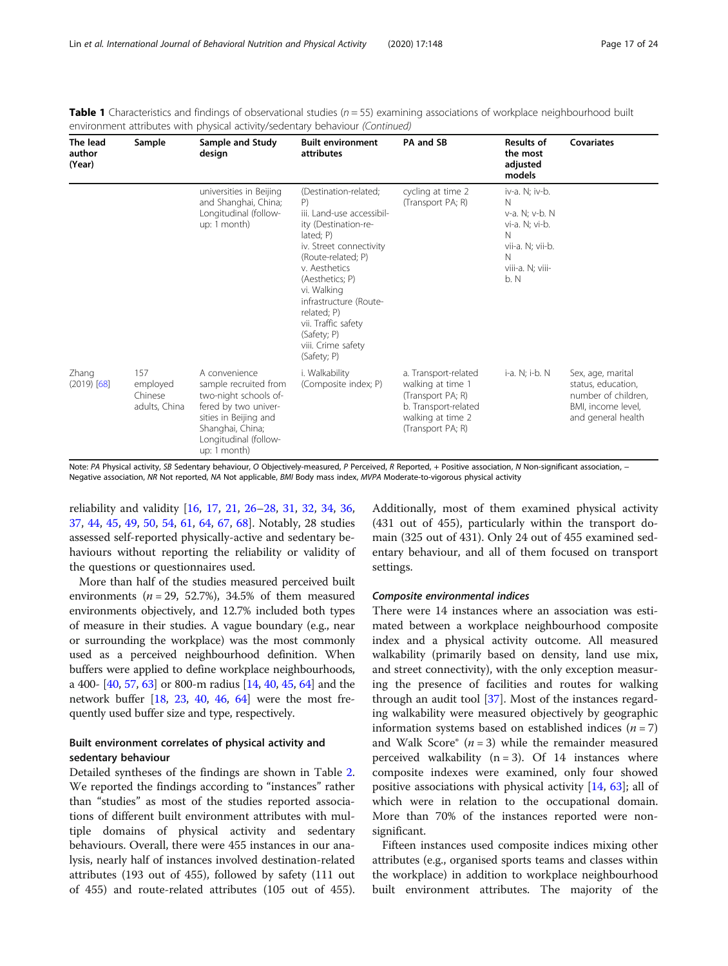| The lead<br>author<br>(Year) | Sample                                      | Sample and Study<br>design                                                                                                                                                    | <b>Built environment</b><br>attributes                                                                                                                                                                                                                                                                                | PA and SB                                                                                                                        | <b>Results of</b><br>the most<br>adjusted<br>models                                                               | Covariates                                                                                                 |
|------------------------------|---------------------------------------------|-------------------------------------------------------------------------------------------------------------------------------------------------------------------------------|-----------------------------------------------------------------------------------------------------------------------------------------------------------------------------------------------------------------------------------------------------------------------------------------------------------------------|----------------------------------------------------------------------------------------------------------------------------------|-------------------------------------------------------------------------------------------------------------------|------------------------------------------------------------------------------------------------------------|
|                              |                                             | universities in Beijing<br>and Shanghai, China;<br>Longitudinal (follow-<br>up: 1 month)                                                                                      | (Destination-related;<br>P)<br>iii. Land-use accessibil-<br>ity (Destination-re-<br>lated: P)<br>iv. Street connectivity<br>(Route-related; P)<br>v. Aesthetics<br>(Aesthetics: P)<br>vi. Walking<br>infrastructure (Route-<br>related; P)<br>vii. Traffic safety<br>(Safety; P)<br>viii. Crime safety<br>(Safety; P) | cycling at time 2<br>(Transport PA; R)                                                                                           | iv-a. N; iv-b.<br>N<br>v-a. N; v-b. N<br>vi-a. N; vi-b.<br>Ν<br>vii-a. N; vii-b.<br>N<br>viii-a. N; viii-<br>b. N |                                                                                                            |
| Zhang<br>$(2019)$ [68]       | 157<br>employed<br>Chinese<br>adults, China | A convenience<br>sample recruited from<br>two-night schools of-<br>fered by two univer-<br>sities in Beijing and<br>Shanghai, China;<br>Longitudinal (follow-<br>up: 1 month) | i. Walkability<br>(Composite index; P)                                                                                                                                                                                                                                                                                | a. Transport-related<br>walking at time 1<br>(Transport PA; R)<br>b. Transport-related<br>walking at time 2<br>(Transport PA; R) | i-a. N; i-b. N                                                                                                    | Sex, age, marital<br>status, education,<br>number of children,<br>BMI, income level,<br>and general health |

|  | <b>Table 1</b> Characteristics and findings of observational studies ( $n = 55$ ) examining associations of workplace neighbourhood built |  |  |  |
|--|-------------------------------------------------------------------------------------------------------------------------------------------|--|--|--|
|  | environment attributes with physical activity/sedentary behaviour <i>(Continued)</i>                                                      |  |  |  |

Note: PA Physical activity, SB Sedentary behaviour, O Objectively-measured, P Perceived, R Reported, + Positive association, N Non-significant association, – Negative association, NR Not reported, NA Not applicable, BMI Body mass index, MVPA Moderate-to-vigorous physical activity

reliability and validity [\[16](#page-22-0), [17,](#page-22-0) [21](#page-22-0), [26](#page-22-0)–[28,](#page-22-0) [31](#page-22-0), [32](#page-22-0), [34,](#page-22-0) [36](#page-22-0), [37,](#page-22-0) [44,](#page-23-0) [45,](#page-23-0) [49](#page-23-0), [50](#page-23-0), [54](#page-23-0), [61,](#page-23-0) [64,](#page-23-0) [67,](#page-23-0) [68](#page-23-0)]. Notably, 28 studies assessed self-reported physically-active and sedentary behaviours without reporting the reliability or validity of the questions or questionnaires used.

More than half of the studies measured perceived built environments ( $n = 29, 52.7\%$ ), 34.5% of them measured environments objectively, and 12.7% included both types of measure in their studies. A vague boundary (e.g., near or surrounding the workplace) was the most commonly used as a perceived neighbourhood definition. When buffers were applied to define workplace neighbourhoods, a 400- [\[40](#page-23-0), [57](#page-23-0), [63\]](#page-23-0) or 800-m radius [[14](#page-22-0), [40,](#page-23-0) [45](#page-23-0), [64\]](#page-23-0) and the network buffer [\[18,](#page-22-0) [23](#page-22-0), [40](#page-23-0), [46,](#page-23-0) [64](#page-23-0)] were the most frequently used buffer size and type, respectively.

# Built environment correlates of physical activity and sedentary behaviour

Detailed syntheses of the findings are shown in Table [2](#page-17-0). We reported the findings according to "instances" rather than "studies" as most of the studies reported associations of different built environment attributes with multiple domains of physical activity and sedentary behaviours. Overall, there were 455 instances in our analysis, nearly half of instances involved destination-related attributes (193 out of 455), followed by safety (111 out of 455) and route-related attributes (105 out of 455).

Additionally, most of them examined physical activity (431 out of 455), particularly within the transport domain (325 out of 431). Only 24 out of 455 examined sedentary behaviour, and all of them focused on transport settings.

### Composite environmental indices

There were 14 instances where an association was estimated between a workplace neighbourhood composite index and a physical activity outcome. All measured walkability (primarily based on density, land use mix, and street connectivity), with the only exception measuring the presence of facilities and routes for walking through an audit tool [\[37\]](#page-22-0). Most of the instances regarding walkability were measured objectively by geographic information systems based on established indices  $(n = 7)$ and Walk Score<sup>®</sup> ( $n = 3$ ) while the remainder measured perceived walkability  $(n = 3)$ . Of 14 instances where composite indexes were examined, only four showed positive associations with physical activity [[14,](#page-22-0) [63](#page-23-0)]; all of which were in relation to the occupational domain. More than 70% of the instances reported were nonsignificant.

Fifteen instances used composite indices mixing other attributes (e.g., organised sports teams and classes within the workplace) in addition to workplace neighbourhood built environment attributes. The majority of the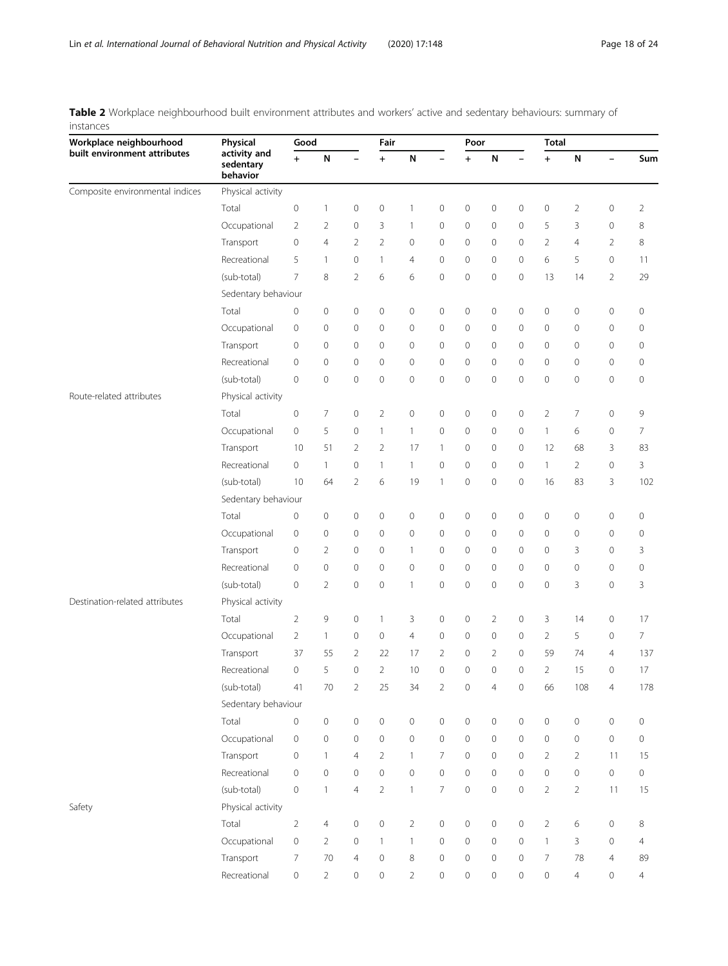<span id="page-17-0"></span>Table 2 Workplace neighbourhood built environment attributes and workers' active and sedentary behaviours: summary of instances

| Workplace neighbourhood         | Physical                              | Good                |                     |                     | Fair                |                |                | Poor         |                     |              | <b>Total</b>        |                     |                     |                     |
|---------------------------------|---------------------------------------|---------------------|---------------------|---------------------|---------------------|----------------|----------------|--------------|---------------------|--------------|---------------------|---------------------|---------------------|---------------------|
| built environment attributes    | activity and<br>sedentary<br>behavior | $+$                 | N                   |                     | $\ddot{}$           | N              |                | $\ddot{}$    | N                   |              | $\ddot{}$           | N                   |                     | Sum                 |
| Composite environmental indices | Physical activity                     |                     |                     |                     |                     |                |                |              |                     |              |                     |                     |                     |                     |
|                                 | Total                                 | $\mathsf{O}\xspace$ | $\mathbf{1}$        | $\mathbf 0$         | $\mathsf{O}\xspace$ | 1              | $\mathbf 0$    | $\mathbf 0$  | $\mathsf{O}\xspace$ | $\mathbf 0$  | $\circ$             | $\overline{2}$      | $\mathbf 0$         | $\overline{2}$      |
|                                 | Occupational                          | 2                   | 2                   | $\mathbf 0$         | 3                   | $\mathbf{1}$   | 0              | 0            | 0                   | 0            | 5                   | 3                   | $\mathbf{0}$        | 8                   |
|                                 | Transport                             | 0                   | $\overline{4}$      | $\overline{2}$      | $\overline{2}$      | $\mathbf 0$    | 0              | $\circ$      | $\mathsf{O}\xspace$ | $\mathbf{0}$ | $\overline{2}$      | 4                   | 2                   | 8                   |
|                                 | Recreational                          | 5                   | $\mathbf{1}$        | $\mathbf 0$         | $\mathbf{1}$        | $\overline{4}$ | 0              | $\mathbf 0$  | $\mathsf{O}\xspace$ | $\mathbf{0}$ | 6                   | 5                   | $\mathbf 0$         | 11                  |
|                                 | (sub-total)                           | 7                   | 8                   | $\overline{2}$      | 6                   | 6              | $\mathbf 0$    | $\mathbf 0$  | $\mathsf{O}\xspace$ | 0            | 13                  | 14                  | 2                   | 29                  |
|                                 | Sedentary behaviour                   |                     |                     |                     |                     |                |                |              |                     |              |                     |                     |                     |                     |
|                                 | Total                                 | 0                   | 0                   | $\mathbf 0$         | $\mathsf{O}\xspace$ | $\mathbf 0$    | $\mathbb O$    | $\mathbf 0$  | $\mathsf{O}\xspace$ | $\mathbf 0$  | $\mathbf 0$         | $\mathbf 0$         | $\mathbf 0$         | 0                   |
|                                 | Occupational                          | 0                   | 0                   | $\mathbf 0$         | 0                   | 0              | 0              | 0            | 0                   | 0            | 0                   | 0                   | $\mathbf{0}$        | 0                   |
|                                 | Transport                             | $\circ$             | $\mathbf 0$         | $\mathbf 0$         | 0                   | 0              | 0              | $\mathbf{0}$ | $\mathsf{O}\xspace$ | $\mathbf{0}$ | $\mathbf 0$         | $\mathbf 0$         | $\mathbf{0}$        | 0                   |
|                                 | Recreational                          | $\circ$             | $\mathbf 0$         | $\mathbf 0$         | $\mathbf 0$         | $\mathbf 0$    | 0              | $\mathbf 0$  | $\mathsf{O}\xspace$ | $\mathbf 0$  | $\mathbf 0$         | $\mathbf 0$         | $\mathbf 0$         | $\mathbf{O}$        |
|                                 | (sub-total)                           | 0                   | $\mathsf{O}\xspace$ | $\mathbf 0$         | $\mathsf{O}\xspace$ | $\mathbf 0$    | 0              | $\mathbf 0$  | $\mathsf{O}\xspace$ | $\mathbf 0$  | 0                   | $\mathbf 0$         | $\mathbf 0$         | $\circ$             |
| Route-related attributes        | Physical activity                     |                     |                     |                     |                     |                |                |              |                     |              |                     |                     |                     |                     |
|                                 | Total                                 | 0                   | 7                   | $\mathbf 0$         | $\overline{2}$      | $\mathbf 0$    | $\mathbf 0$    | $\mathbf 0$  | $\mathsf{O}\xspace$ | $\mathbf 0$  | $\overline{2}$      | $\overline{7}$      | $\mathbf 0$         | 9                   |
|                                 | Occupational                          | 0                   | 5                   | $\mathbf 0$         | $\mathbf{1}$        | $\mathbf{1}$   | 0              | $\mathbf 0$  | $\mathsf{O}\xspace$ | $\mathbf{0}$ | $\mathbf{1}$        | 6                   | $\mathbf{0}$        | 7                   |
|                                 | Transport                             | 10                  | 51                  | $\overline{2}$      | $\overline{2}$      | 17             | 1              | $\mathbf 0$  | 0                   | $\circ$      | 12                  | 68                  | 3                   | 83                  |
|                                 | Recreational                          | 0                   | 1                   | $\mathbf 0$         | $\mathbf{1}$        | $\mathbf{1}$   | 0              | $\mathbf 0$  | $\mathsf{O}\xspace$ | 0            | $\mathbf{1}$        | $\overline{2}$      | $\mathbf 0$         | 3                   |
|                                 | (sub-total)                           | 10                  | 64                  | $\overline{2}$      | 6                   | 19             | $\mathbf{1}$   | $\mathbf{O}$ | $\mathsf{O}\xspace$ | $\mathbf 0$  | 16                  | 83                  | 3                   | 102                 |
|                                 | Sedentary behaviour                   |                     |                     |                     |                     |                |                |              |                     |              |                     |                     |                     |                     |
|                                 | Total                                 | 0                   | $\mathbf 0$         | $\mathbf 0$         | $\mathbf 0$         | $\mathbf 0$    | $\mathbf 0$    | $\mathbf 0$  | $\mathsf{O}\xspace$ | $\mathbf 0$  | $\mathbf 0$         | $\mathbf 0$         | $\circ$             | 0                   |
|                                 | Occupational                          | 0                   | 0                   | $\mathbf 0$         | $\mathbf 0$         | 0              | 0              | 0            | 0                   | $\mathbf{0}$ | $\mathbf{O}$        | 0                   | $\mathbf{0}$        | 0                   |
|                                 | Transport                             | 0                   | $\overline{2}$      | $\mathbf 0$         | 0                   | $\mathbf{1}$   | 0              | $\circ$      | 0                   | $\mathbf 0$  | $\mathbf 0$         | 3                   | $\mathbf{0}$        | 3                   |
|                                 | Recreational                          | $\circ$             | $\mathbf 0$         | $\mathbf 0$         | $\mathbf 0$         | $\mathbf 0$    | $\mathbf 0$    | $\mathbf 0$  | $\mathsf{O}\xspace$ | $\mathbf{0}$ | $\mathbf 0$         | $\mathbf 0$         | $\mathbf{0}$        | $\mathbf 0$         |
|                                 | (sub-total)                           | 0                   | $\overline{2}$      | $\mathbf 0$         | $\mathbf 0$         | $\mathbf{1}$   | $\mathbf 0$    | $\mathbf 0$  | $\mathsf{O}\xspace$ | $\mathbf 0$  | $\mathbf{O}$        | 3                   | $\mathbf 0$         | 3                   |
| Destination-related attributes  | Physical activity                     |                     |                     |                     |                     |                |                |              |                     |              |                     |                     |                     |                     |
|                                 | Total                                 | $\overline{2}$      | 9                   | $\mathbf 0$         | $\mathbf{1}$        | 3              | 0              | $\mathbf 0$  | $\overline{2}$      | 0            | 3                   | 14                  | 0                   | 17                  |
|                                 | Occupational                          | 2                   | $\mathbf{1}$        | $\mathbf 0$         | 0                   | 4              | 0              | 0            | 0                   | 0            | $\overline{2}$      | 5                   | $\mathbf{0}$        | 7                   |
|                                 | Transport                             | 37                  | 55                  | $\overline{2}$      | 22                  | 17             | $\overline{2}$ | $\mathbf 0$  | $\overline{2}$      | $\mathbf{0}$ | 59                  | 74                  | $\overline{4}$      | 137                 |
|                                 | Recreational                          | $\mathsf{O}\xspace$ | 5                   | $\mathbf 0$         | $\overline{2}$      | 10             | 0              | 0            | $\mathbf 0$         | $\mathbf 0$  | $\overline{2}$      | 15                  | $\mathbf 0$         | 17                  |
|                                 | (sub-total)                           | 41                  | 70                  | $\overline{2}$      | 25                  | 34             | $\overline{2}$ | $\mathbf 0$  | $\overline{4}$      | $\mathbf 0$  | 66                  | 108                 | 4                   | 178                 |
|                                 | Sedentary behaviour                   |                     |                     |                     |                     |                |                |              |                     |              |                     |                     |                     |                     |
|                                 | Total                                 | $\circ$             | $\mathbb O$         | $\mathsf{O}\xspace$ | $\mathbf 0$         | $\mathbb O$    | $\mathbb O$    | $\mathbb O$  | $\mathsf{O}\xspace$ | 0            | $\mathsf{O}\xspace$ | $\mathsf{O}\xspace$ | $\circ$             | $\mathbb O$         |
|                                 | Occupational                          | 0                   | $\mathbb O$         | $\mathbb O$         | $\mathsf{O}\xspace$ | $\mathbb O$    | $\circ$        | $\mathbf 0$  | $\mathsf{O}\xspace$ | 0            | $\circ$             | $\mathsf{O}\xspace$ | $\circ$             | 0                   |
|                                 | Transport                             | 0                   | $\mathbf{1}$        | $\overline{4}$      | $\overline{2}$      | $\mathbf{1}$   | 7              | $\circ$      | $\mathsf{O}\xspace$ | $\circ$      | $\overline{2}$      | $\overline{2}$      | 11                  | 15                  |
|                                 | Recreational                          | $\circ$             | $\mathbb O$         | $\mathbf 0$         | $\mathbf 0$         | $\mathbf 0$    | $\mathbb O$    | $\circ$      | $\mathsf{O}\xspace$ | 0            | $\mathbf 0$         | $\mathbf 0$         | $\circ$             | $\mathsf{O}\xspace$ |
|                                 | (sub-total)                           | 0                   | $\mathbf{1}$        | $\overline{4}$      | $\overline{2}$      | $\mathbf{1}$   | 7              | $\mathbf 0$  | $\mathsf{O}\xspace$ | $\mathbf 0$  | $\overline{2}$      | $\sqrt{2}$          | 11                  | 15                  |
| Safety                          | Physical activity                     |                     |                     |                     |                     |                |                |              |                     |              |                     |                     |                     |                     |
|                                 | Total                                 | $\overline{2}$      | $\overline{4}$      | $\mathsf{O}\xspace$ | $\mathbf 0$         | $\overline{2}$ | $\mathbb O$    | $\mathbb O$  | $\mathsf{O}\xspace$ | 0            | $\overline{2}$      | 6                   | $\circ$             | 8                   |
|                                 | Occupational                          | 0                   | $\overline{2}$      | $\mathbf 0$         | $\mathbf{1}$        | $\mathbf{1}$   | $\mathbb O$    | $\mathbb O$  | $\mathsf{O}\xspace$ | 0            | $\mathbf{1}$        | $\mathbf{3}$        | $\circ$             | 4                   |
|                                 | Transport                             | 7                   | 70                  | $\overline{4}$      | $\mathsf{O}\xspace$ | 8              | $\circ$        | $\circ$      | $\mathsf{O}\xspace$ | $\circ$      | 7                   | 78                  | $\overline{4}$      | 89                  |
|                                 | Recreational                          | 0                   | $\overline{2}$      | $\mathbb O$         | $\mathsf{O}\xspace$ | $\overline{2}$ | $\mathbb O$    | $\mathbb O$  | $\mathsf{O}\xspace$ | $\circ$      | $\mathsf{O}\xspace$ | $\overline{4}$      | $\mathsf{O}\xspace$ | $\overline{4}$      |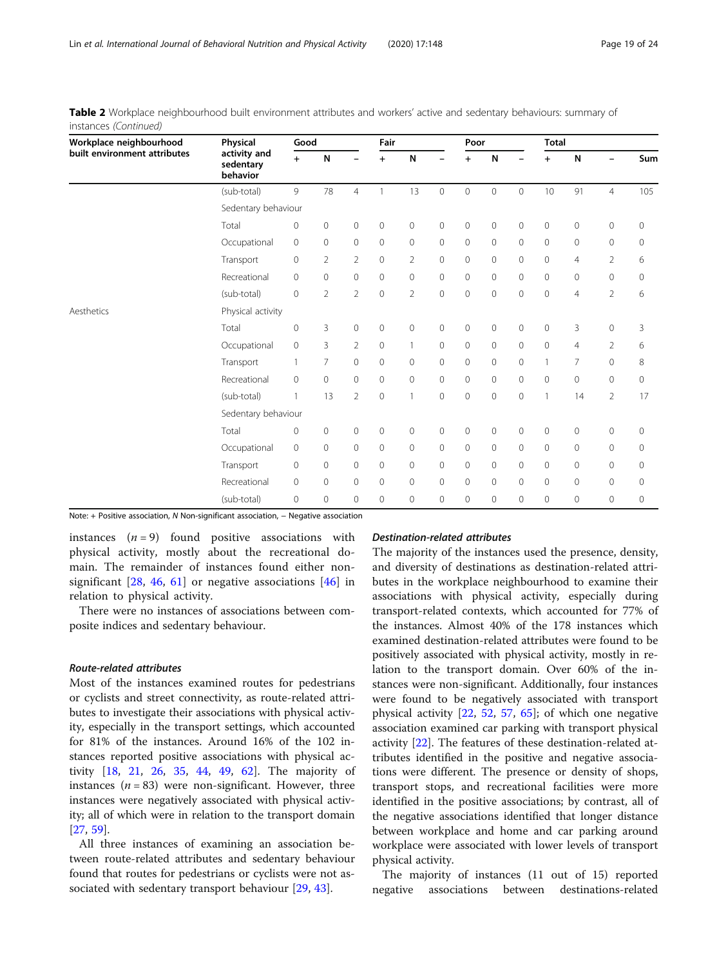| Table 2 Workplace neighbourhood built environment attributes and workers' active and sedentary behaviours: summary of |  |
|-----------------------------------------------------------------------------------------------------------------------|--|
| instances <i>(Continued)</i>                                                                                          |  |

| Workplace neighbourhood      | Physical                              | Good                |                     | Fair           |                     |                | Poor           |             |                     | <b>Total</b>   |              |                |                |              |
|------------------------------|---------------------------------------|---------------------|---------------------|----------------|---------------------|----------------|----------------|-------------|---------------------|----------------|--------------|----------------|----------------|--------------|
| built environment attributes | activity and<br>sedentary<br>behavior | $+$                 | N                   |                | $\ddot{}$           | N              |                | $\ddot{}$   | N                   |                | $\ddot{}$    | N              |                | Sum          |
|                              | (sub-total)                           | 9                   | 78                  | 4              | $\mathbf{1}$        | 13             | $\mathbf 0$    | $\mathbf 0$ | $\mathbf 0$         | $\mathbf 0$    | 10           | 91             | $\overline{4}$ | 105          |
|                              | Sedentary behaviour                   |                     |                     |                |                     |                |                |             |                     |                |              |                |                |              |
|                              | Total                                 | $\circ$             | $\mathbf{0}$        | $\circ$        | $\mathbf{0}$        | $\mathbf{0}$   | $\mathbf{0}$   | $\mathbb O$ | $\overline{0}$      | $\mathbf{0}$   | $\circ$      | $\overline{0}$ | $\circ$        | $\mathbf{0}$ |
|                              | Occupational                          | $\mathsf{O}\xspace$ | $\circ$             | $\mathbb O$    | $\mathsf{O}\xspace$ | $\mathbf 0$    | $\mathbf{0}$   | $\mathbf 0$ | $\mathsf{O}\xspace$ | $\mathbf 0$    | $\mathbf 0$  | $\mathbf 0$    | $\circ$        | $\mathbf 0$  |
|                              | Transport                             | $\mathsf{O}\xspace$ | $\overline{2}$      | 2              | $\mathsf{O}\xspace$ | $\overline{2}$ | $\mathbf 0$    | $\mathbf 0$ | 0                   | $\mathbf 0$    | $\mathbf 0$  | $\overline{4}$ | $\overline{2}$ | 6            |
|                              | Recreational                          | $\circ$             | $\mathbf 0$         | $\mathbf 0$    | $\mathsf{O}\xspace$ | $\mathbf 0$    | $\overline{0}$ | $\mathbf 0$ | $\mathsf{O}\xspace$ | $\mathbf 0$    | $\mathbf 0$  | $\mathbf 0$    | $\Omega$       | $\mathbf{0}$ |
|                              | (sub-total)                           | $\mathsf{O}\xspace$ | $\overline{2}$      | $\overline{2}$ | $\mathbf 0$         | $\overline{2}$ | $\mathbf 0$    | $\mathbf 0$ | $\mathbf 0$         | $\overline{0}$ | $\mathbf 0$  | $\overline{4}$ | $\overline{2}$ | 6            |
| Aesthetics                   | Physical activity                     |                     |                     |                |                     |                |                |             |                     |                |              |                |                |              |
|                              | Total                                 | $\mathbf 0$         | 3                   | $\mathbb O$    | $\mathsf{O}\xspace$ | $\mathbf 0$    | $\mathbf{0}$   | $\mathbf 0$ | $\mathbf 0$         | $\overline{0}$ | $\mathbf{0}$ | 3              | $\Omega$       | 3            |
|                              | Occupational                          | $\circ$             | 3                   | $\overline{2}$ | $\mathsf{O}\xspace$ | 1              | $\mathbf{0}$   | $\mathbf 0$ | 0                   | $\mathbf 0$    | $\mathbf 0$  | $\overline{4}$ | $\overline{2}$ | 6            |
|                              | Transport                             |                     | $\overline{7}$      | $\circ$        | 0                   | 0              | $\mathbf{0}$   | $\mathbf 0$ | 0                   | $\mathbf 0$    | $\mathbf{1}$ | 7              | $\Omega$       | 8            |
|                              | Recreational                          | $\circ$             | $\mathsf{O}\xspace$ | $\mathbb O$    | $\mathsf{O}\xspace$ | 0              | $\mathbf 0$    | $\mathbf 0$ | $\mathsf{O}\xspace$ | $\mathbf 0$    | $\mathbf 0$  | $\mathbf 0$    | $\overline{0}$ | $\mathbf 0$  |
|                              | (sub-total)                           |                     | 13                  | $\overline{2}$ | $\mathsf{O}\xspace$ | 1              | $\mathbf 0$    | $\mathbf 0$ | $\mathbf 0$         | $\mathbf 0$    | $\mathbf{1}$ | 14             | $\overline{2}$ | 17           |
|                              | Sedentary behaviour                   |                     |                     |                |                     |                |                |             |                     |                |              |                |                |              |
|                              | Total                                 | $\circ$             | $\circ$             | $\circ$        | $\mathsf{O}\xspace$ | 0              | $\mathbf 0$    | $\mathbf 0$ | $\mathbf 0$         | $\mathbf 0$    | $\mathbf 0$  | $\mathbf 0$    | $\mathbf{0}$   | $\mathbf 0$  |
|                              | Occupational                          | $\circ$             | $\mathbf{0}$        | $\mathbf 0$    | $\circ$             | $\overline{0}$ | $\mathbf{0}$   | $\circ$     | $\circ$             | $\mathbf 0$    | $\mathbf{0}$ | $\mathbf 0$    | $\Omega$       | $\mathbf{0}$ |
|                              | Transport                             | $\mathsf{O}\xspace$ | $\overline{0}$      | $\mathbb O$    | $\circ$             | $\circ$        | $\mathbf{0}$   | $\mathbf 0$ | $\mathsf{O}\xspace$ | $\mathbf 0$    | $\mathbf{0}$ | $\mathbf 0$    | $\overline{0}$ | $\mathbf{0}$ |
|                              | Recreational                          | $\mathsf{O}\xspace$ | $\circ$             | $\circ$        | 0                   | $\circ$        | $\mathbf 0$    | $\mathbf 0$ | 0                   | $\mathbf 0$    | $\mathbf 0$  | $\mathbf 0$    | $\overline{0}$ | $\mathbf 0$  |
|                              | (sub-total)                           | $\mathbf 0$         | $\mathbf 0$         | 0              | $\circ$             | 0              | $\mathbf{0}$   | $\mathbf 0$ | $\mathbf 0$         | $\mathbf 0$    | $\mathbf 0$  | $\mathbf 0$    | $\overline{0}$ | $\mathbf 0$  |

Note: + Positive association, N Non-significant association, − Negative association

instances  $(n = 9)$  found positive associations with physical activity, mostly about the recreational domain. The remainder of instances found either nonsignificant  $[28, 46, 61]$  $[28, 46, 61]$  $[28, 46, 61]$  $[28, 46, 61]$  $[28, 46, 61]$  $[28, 46, 61]$  $[28, 46, 61]$  or negative associations  $[46]$  $[46]$  in relation to physical activity.

There were no instances of associations between composite indices and sedentary behaviour.

#### Route-related attributes

Most of the instances examined routes for pedestrians or cyclists and street connectivity, as route-related attributes to investigate their associations with physical activity, especially in the transport settings, which accounted for 81% of the instances. Around 16% of the 102 instances reported positive associations with physical activity [[18,](#page-22-0) [21](#page-22-0), [26,](#page-22-0) [35,](#page-22-0) [44](#page-23-0), [49,](#page-23-0) [62](#page-23-0)]. The majority of instances ( $n = 83$ ) were non-significant. However, three instances were negatively associated with physical activity; all of which were in relation to the transport domain [[27,](#page-22-0) [59\]](#page-23-0).

All three instances of examining an association between route-related attributes and sedentary behaviour found that routes for pedestrians or cyclists were not as-sociated with sedentary transport behaviour [\[29](#page-22-0), [43](#page-23-0)].

#### Destination-related attributes

The majority of the instances used the presence, density, and diversity of destinations as destination-related attributes in the workplace neighbourhood to examine their associations with physical activity, especially during transport-related contexts, which accounted for 77% of the instances. Almost 40% of the 178 instances which examined destination-related attributes were found to be positively associated with physical activity, mostly in relation to the transport domain. Over 60% of the instances were non-significant. Additionally, four instances were found to be negatively associated with transport physical activity [[22,](#page-22-0) [52,](#page-23-0) [57,](#page-23-0) [65\]](#page-23-0); of which one negative association examined car parking with transport physical activity [\[22\]](#page-22-0). The features of these destination-related attributes identified in the positive and negative associations were different. The presence or density of shops, transport stops, and recreational facilities were more identified in the positive associations; by contrast, all of the negative associations identified that longer distance between workplace and home and car parking around workplace were associated with lower levels of transport physical activity.

The majority of instances (11 out of 15) reported negative associations between destinations-related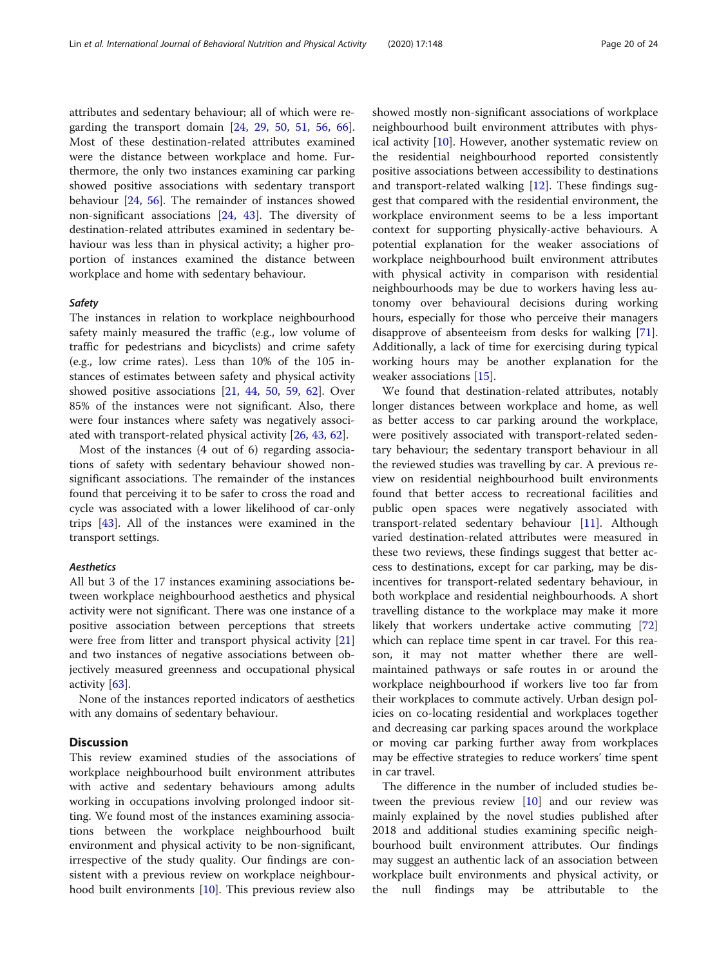attributes and sedentary behaviour; all of which were regarding the transport domain [\[24](#page-22-0), [29,](#page-22-0) [50,](#page-23-0) [51,](#page-23-0) [56](#page-23-0), [66](#page-23-0)]. Most of these destination-related attributes examined were the distance between workplace and home. Furthermore, the only two instances examining car parking showed positive associations with sedentary transport behaviour [\[24](#page-22-0), [56](#page-23-0)]. The remainder of instances showed non-significant associations [\[24](#page-22-0), [43](#page-23-0)]. The diversity of destination-related attributes examined in sedentary behaviour was less than in physical activity; a higher proportion of instances examined the distance between workplace and home with sedentary behaviour.

# **Safetv**

The instances in relation to workplace neighbourhood safety mainly measured the traffic (e.g., low volume of traffic for pedestrians and bicyclists) and crime safety (e.g., low crime rates). Less than 10% of the 105 instances of estimates between safety and physical activity showed positive associations [\[21](#page-22-0), [44,](#page-23-0) [50](#page-23-0), [59,](#page-23-0) [62](#page-23-0)]. Over 85% of the instances were not significant. Also, there were four instances where safety was negatively associated with transport-related physical activity [\[26](#page-22-0), [43](#page-23-0), [62](#page-23-0)].

Most of the instances (4 out of 6) regarding associations of safety with sedentary behaviour showed nonsignificant associations. The remainder of the instances found that perceiving it to be safer to cross the road and cycle was associated with a lower likelihood of car-only trips [[43](#page-23-0)]. All of the instances were examined in the transport settings.

# Aesthetics

All but 3 of the 17 instances examining associations between workplace neighbourhood aesthetics and physical activity were not significant. There was one instance of a positive association between perceptions that streets were free from litter and transport physical activity [[21](#page-22-0)] and two instances of negative associations between objectively measured greenness and occupational physical activity [[63\]](#page-23-0).

None of the instances reported indicators of aesthetics with any domains of sedentary behaviour.

#### **Discussion**

This review examined studies of the associations of workplace neighbourhood built environment attributes with active and sedentary behaviours among adults working in occupations involving prolonged indoor sitting. We found most of the instances examining associations between the workplace neighbourhood built environment and physical activity to be non-significant, irrespective of the study quality. Our findings are consistent with a previous review on workplace neighbourhood built environments [\[10\]](#page-22-0). This previous review also

showed mostly non-significant associations of workplace neighbourhood built environment attributes with physical activity [[10](#page-22-0)]. However, another systematic review on the residential neighbourhood reported consistently positive associations between accessibility to destinations and transport-related walking [\[12](#page-22-0)]. These findings suggest that compared with the residential environment, the workplace environment seems to be a less important context for supporting physically-active behaviours. A potential explanation for the weaker associations of workplace neighbourhood built environment attributes with physical activity in comparison with residential neighbourhoods may be due to workers having less autonomy over behavioural decisions during working hours, especially for those who perceive their managers disapprove of absenteeism from desks for walking [\[71](#page-23-0)]. Additionally, a lack of time for exercising during typical working hours may be another explanation for the weaker associations [[15\]](#page-22-0).

We found that destination-related attributes, notably longer distances between workplace and home, as well as better access to car parking around the workplace, were positively associated with transport-related sedentary behaviour; the sedentary transport behaviour in all the reviewed studies was travelling by car. A previous review on residential neighbourhood built environments found that better access to recreational facilities and public open spaces were negatively associated with transport-related sedentary behaviour [[11\]](#page-22-0). Although varied destination-related attributes were measured in these two reviews, these findings suggest that better access to destinations, except for car parking, may be disincentives for transport-related sedentary behaviour, in both workplace and residential neighbourhoods. A short travelling distance to the workplace may make it more likely that workers undertake active commuting [[72](#page-23-0)] which can replace time spent in car travel. For this reason, it may not matter whether there are wellmaintained pathways or safe routes in or around the workplace neighbourhood if workers live too far from their workplaces to commute actively. Urban design policies on co-locating residential and workplaces together and decreasing car parking spaces around the workplace or moving car parking further away from workplaces may be effective strategies to reduce workers' time spent in car travel.

The difference in the number of included studies between the previous review  $[10]$  $[10]$  and our review was mainly explained by the novel studies published after 2018 and additional studies examining specific neighbourhood built environment attributes. Our findings may suggest an authentic lack of an association between workplace built environments and physical activity, or the null findings may be attributable to the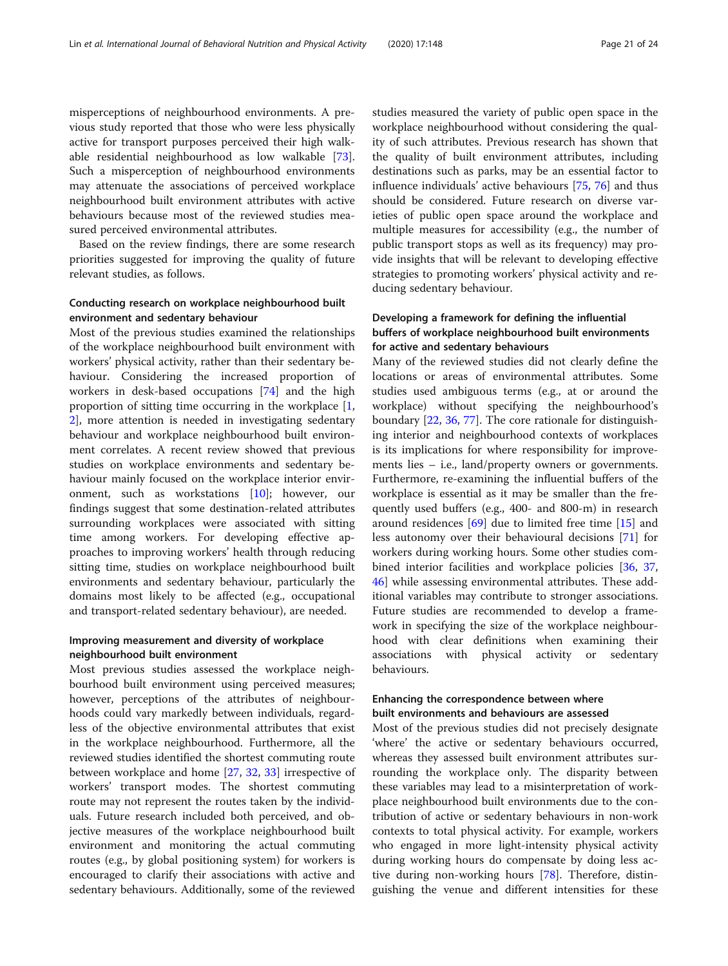misperceptions of neighbourhood environments. A previous study reported that those who were less physically active for transport purposes perceived their high walkable residential neighbourhood as low walkable [\[73](#page-23-0)]. Such a misperception of neighbourhood environments may attenuate the associations of perceived workplace neighbourhood built environment attributes with active behaviours because most of the reviewed studies measured perceived environmental attributes.

Based on the review findings, there are some research priorities suggested for improving the quality of future relevant studies, as follows.

# Conducting research on workplace neighbourhood built environment and sedentary behaviour

Most of the previous studies examined the relationships of the workplace neighbourhood built environment with workers' physical activity, rather than their sedentary behaviour. Considering the increased proportion of workers in desk-based occupations [[74](#page-23-0)] and the high proportion of sitting time occurring in the workplace [\[1](#page-22-0), [2\]](#page-22-0), more attention is needed in investigating sedentary behaviour and workplace neighbourhood built environment correlates. A recent review showed that previous studies on workplace environments and sedentary behaviour mainly focused on the workplace interior environment, such as workstations [\[10](#page-22-0)]; however, our findings suggest that some destination-related attributes surrounding workplaces were associated with sitting time among workers. For developing effective approaches to improving workers' health through reducing sitting time, studies on workplace neighbourhood built environments and sedentary behaviour, particularly the domains most likely to be affected (e.g., occupational and transport-related sedentary behaviour), are needed.

# Improving measurement and diversity of workplace neighbourhood built environment

Most previous studies assessed the workplace neighbourhood built environment using perceived measures; however, perceptions of the attributes of neighbourhoods could vary markedly between individuals, regardless of the objective environmental attributes that exist in the workplace neighbourhood. Furthermore, all the reviewed studies identified the shortest commuting route between workplace and home [\[27,](#page-22-0) [32](#page-22-0), [33](#page-22-0)] irrespective of workers' transport modes. The shortest commuting route may not represent the routes taken by the individuals. Future research included both perceived, and objective measures of the workplace neighbourhood built environment and monitoring the actual commuting routes (e.g., by global positioning system) for workers is encouraged to clarify their associations with active and sedentary behaviours. Additionally, some of the reviewed

studies measured the variety of public open space in the workplace neighbourhood without considering the quality of such attributes. Previous research has shown that the quality of built environment attributes, including destinations such as parks, may be an essential factor to influence individuals' active behaviours [[75](#page-23-0), [76](#page-23-0)] and thus should be considered. Future research on diverse varieties of public open space around the workplace and multiple measures for accessibility (e.g., the number of public transport stops as well as its frequency) may provide insights that will be relevant to developing effective strategies to promoting workers' physical activity and reducing sedentary behaviour.

# Developing a framework for defining the influential buffers of workplace neighbourhood built environments for active and sedentary behaviours

Many of the reviewed studies did not clearly define the locations or areas of environmental attributes. Some studies used ambiguous terms (e.g., at or around the workplace) without specifying the neighbourhood's boundary [[22](#page-22-0), [36](#page-22-0), [77](#page-23-0)]. The core rationale for distinguishing interior and neighbourhood contexts of workplaces is its implications for where responsibility for improvements lies – i.e., land/property owners or governments. Furthermore, re-examining the influential buffers of the workplace is essential as it may be smaller than the frequently used buffers (e.g., 400- and 800-m) in research around residences [[69](#page-23-0)] due to limited free time [\[15](#page-22-0)] and less autonomy over their behavioural decisions [[71\]](#page-23-0) for workers during working hours. Some other studies com-bined interior facilities and workplace policies [[36,](#page-22-0) [37](#page-22-0), [46\]](#page-23-0) while assessing environmental attributes. These additional variables may contribute to stronger associations. Future studies are recommended to develop a framework in specifying the size of the workplace neighbourhood with clear definitions when examining their associations with physical activity or sedentary behaviours.

# Enhancing the correspondence between where built environments and behaviours are assessed

Most of the previous studies did not precisely designate 'where' the active or sedentary behaviours occurred, whereas they assessed built environment attributes surrounding the workplace only. The disparity between these variables may lead to a misinterpretation of workplace neighbourhood built environments due to the contribution of active or sedentary behaviours in non-work contexts to total physical activity. For example, workers who engaged in more light-intensity physical activity during working hours do compensate by doing less active during non-working hours [[78\]](#page-23-0). Therefore, distinguishing the venue and different intensities for these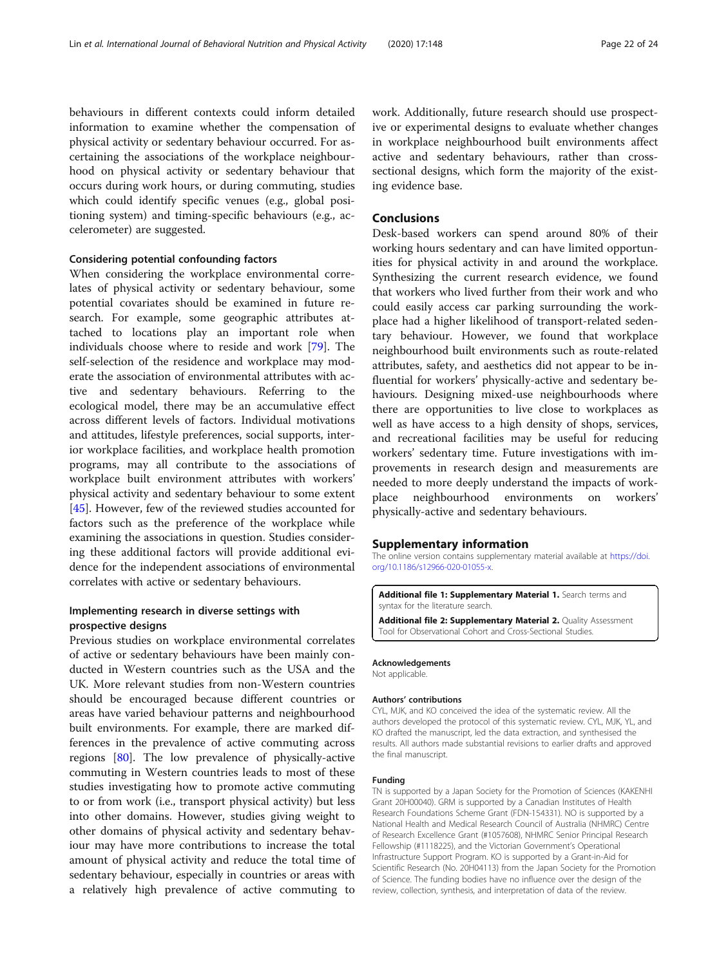<span id="page-21-0"></span>behaviours in different contexts could inform detailed information to examine whether the compensation of physical activity or sedentary behaviour occurred. For ascertaining the associations of the workplace neighbourhood on physical activity or sedentary behaviour that occurs during work hours, or during commuting, studies which could identify specific venues (e.g., global positioning system) and timing-specific behaviours (e.g., accelerometer) are suggested.

# Considering potential confounding factors

When considering the workplace environmental correlates of physical activity or sedentary behaviour, some potential covariates should be examined in future research. For example, some geographic attributes attached to locations play an important role when individuals choose where to reside and work [[79\]](#page-23-0). The self-selection of the residence and workplace may moderate the association of environmental attributes with active and sedentary behaviours. Referring to the ecological model, there may be an accumulative effect across different levels of factors. Individual motivations and attitudes, lifestyle preferences, social supports, interior workplace facilities, and workplace health promotion programs, may all contribute to the associations of workplace built environment attributes with workers' physical activity and sedentary behaviour to some extent [[45\]](#page-23-0). However, few of the reviewed studies accounted for factors such as the preference of the workplace while examining the associations in question. Studies considering these additional factors will provide additional evidence for the independent associations of environmental correlates with active or sedentary behaviours.

# Implementing research in diverse settings with prospective designs

Previous studies on workplace environmental correlates of active or sedentary behaviours have been mainly conducted in Western countries such as the USA and the UK. More relevant studies from non-Western countries should be encouraged because different countries or areas have varied behaviour patterns and neighbourhood built environments. For example, there are marked differences in the prevalence of active commuting across regions [[80\]](#page-23-0). The low prevalence of physically-active commuting in Western countries leads to most of these studies investigating how to promote active commuting to or from work (i.e., transport physical activity) but less into other domains. However, studies giving weight to other domains of physical activity and sedentary behaviour may have more contributions to increase the total amount of physical activity and reduce the total time of sedentary behaviour, especially in countries or areas with a relatively high prevalence of active commuting to

work. Additionally, future research should use prospective or experimental designs to evaluate whether changes in workplace neighbourhood built environments affect active and sedentary behaviours, rather than crosssectional designs, which form the majority of the existing evidence base.

# Conclusions

Desk-based workers can spend around 80% of their working hours sedentary and can have limited opportunities for physical activity in and around the workplace. Synthesizing the current research evidence, we found that workers who lived further from their work and who could easily access car parking surrounding the workplace had a higher likelihood of transport-related sedentary behaviour. However, we found that workplace neighbourhood built environments such as route-related attributes, safety, and aesthetics did not appear to be influential for workers' physically-active and sedentary behaviours. Designing mixed-use neighbourhoods where there are opportunities to live close to workplaces as well as have access to a high density of shops, services, and recreational facilities may be useful for reducing workers' sedentary time. Future investigations with improvements in research design and measurements are needed to more deeply understand the impacts of workplace neighbourhood environments on workers' physically-active and sedentary behaviours.

# Supplementary information

The online version contains supplementary material available at [https://doi.](https://doi.org/10.1186/s12966-020-01055-x) [org/10.1186/s12966-020-01055-x](https://doi.org/10.1186/s12966-020-01055-x).

Additional file 1: Supplementary Material 1. Search terms and syntax for the literature search.

Additional file 2: Supplementary Material 2. Quality Assessment Tool for Observational Cohort and Cross-Sectional Studies.

# Acknowledgements

Not applicable.

#### Authors' contributions

CYL, MJK, and KO conceived the idea of the systematic review. All the authors developed the protocol of this systematic review. CYL, MJK, YL, and KO drafted the manuscript, led the data extraction, and synthesised the results. All authors made substantial revisions to earlier drafts and approved the final manuscript.

#### Funding

TN is supported by a Japan Society for the Promotion of Sciences (KAKENHI Grant 20H00040). GRM is supported by a Canadian Institutes of Health Research Foundations Scheme Grant (FDN-154331). NO is supported by a National Health and Medical Research Council of Australia (NHMRC) Centre of Research Excellence Grant (#1057608), NHMRC Senior Principal Research Fellowship (#1118225), and the Victorian Government's Operational Infrastructure Support Program. KO is supported by a Grant-in-Aid for Scientific Research (No. 20H04113) from the Japan Society for the Promotion of Science. The funding bodies have no influence over the design of the review, collection, synthesis, and interpretation of data of the review.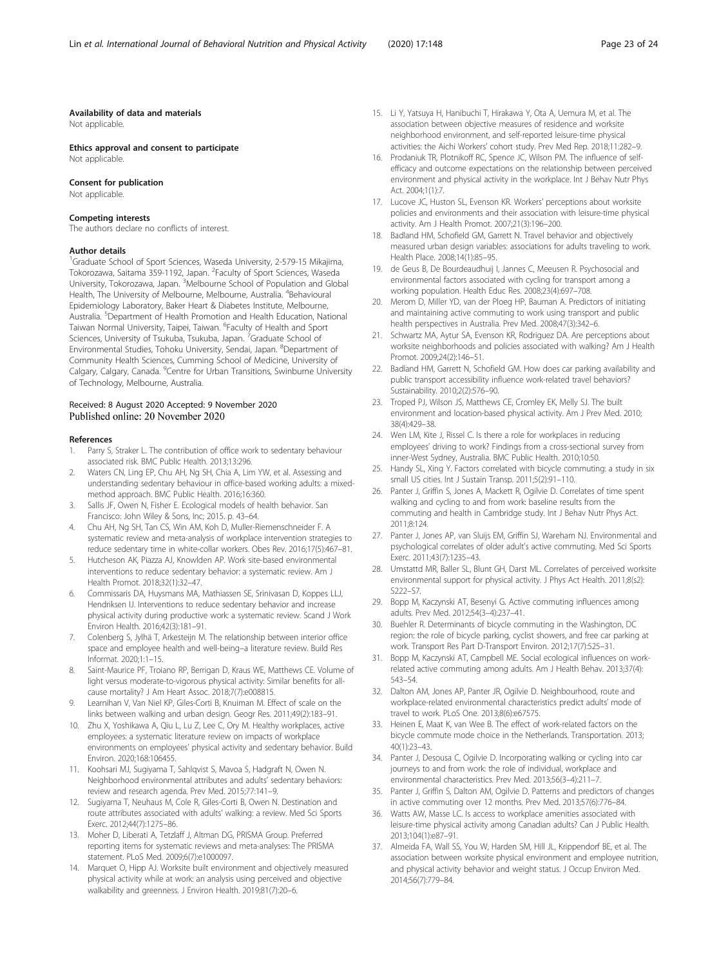#### <span id="page-22-0"></span>Availability of data and materials

Not applicable

Ethics approval and consent to participate Not applicable

#### Consent for publication

Not applicable.

#### Competing interests

The authors declare no conflicts of interest.

#### Author details

<sup>1</sup>Graduate School of Sport Sciences, Waseda University, 2-579-15 Mikajima, Tokorozawa, Saitama 359-1192, Japan. <sup>2</sup>Faculty of Sport Sciences, Waseda University, Tokorozawa, Japan. <sup>3</sup>Melbourne School of Population and Global Health, The University of Melbourne, Melbourne, Australia. <sup>4</sup>Behavioural Epidemiology Laboratory, Baker Heart & Diabetes Institute, Melbourne, Australia. <sup>5</sup>Department of Health Promotion and Health Education, National Taiwan Normal University, Taipei, Taiwan. <sup>6</sup>Faculty of Health and Sport Sciences, University of Tsukuba, Tsukuba, Japan. <sup>7</sup>Graduate School of Environmental Studies, Tohoku University, Sendai, Japan. <sup>8</sup>Department of Community Health Sciences, Cumming School of Medicine, University of Calgary, Calgary, Canada. <sup>9</sup>Centre for Urban Transitions, Swinburne University of Technology, Melbourne, Australia.

#### Received: 8 August 2020 Accepted: 9 November 2020 Published online: 20 November 2020

#### References

- 1. Parry S, Straker L. The contribution of office work to sedentary behaviour associated risk. BMC Public Health. 2013;13:296.
- 2. Waters CN, Ling EP, Chu AH, Ng SH, Chia A, Lim YW, et al. Assessing and understanding sedentary behaviour in office-based working adults: a mixedmethod approach. BMC Public Health. 2016;16:360.
- 3. Sallis JF, Owen N, Fisher E. Ecological models of health behavior. San Francisco: John Wiley & Sons, Inc; 2015. p. 43–64.
- 4. Chu AH, Ng SH, Tan CS, Win AM, Koh D, Muller-Riemenschneider F. A systematic review and meta-analysis of workplace intervention strategies to reduce sedentary time in white-collar workers. Obes Rev. 2016;17(5):467–81.
- 5. Hutcheson AK, Piazza AJ, Knowlden AP. Work site-based environmental interventions to reduce sedentary behavior: a systematic review. Am J Health Promot. 2018;32(1):32–47.
- 6. Commissaris DA, Huysmans MA, Mathiassen SE, Srinivasan D, Koppes LLJ, Hendriksen IJ. Interventions to reduce sedentary behavior and increase physical activity during productive work: a systematic review. Scand J Work Environ Health. 2016;42(3):181–91.
- 7. Colenberg S, Jylhä T, Arkesteijn M. The relationship between interior office space and employee health and well-being–a literature review. Build Res Informat. 2020;1:1–15.
- 8. Saint-Maurice PF, Troiano RP, Berrigan D, Kraus WE, Matthews CE. Volume of light versus moderate-to-vigorous physical activity: Similar benefits for allcause mortality? J Am Heart Assoc. 2018;7(7):e008815.
- 9. Learnihan V, Van Niel KP, Giles-Corti B, Knuiman M. Effect of scale on the links between walking and urban design. Geogr Res. 2011;49(2):183–91.
- 10. Zhu X, Yoshikawa A, Qiu L, Lu Z, Lee C, Ory M. Healthy workplaces, active employees: a systematic literature review on impacts of workplace environments on employees' physical activity and sedentary behavior. Build Environ. 2020;168:106455.
- 11. Koohsari MJ, Sugiyama T, Sahlqvist S, Mavoa S, Hadgraft N, Owen N. Neighborhood environmental attributes and adults' sedentary behaviors: review and research agenda. Prev Med. 2015;77:141–9.
- 12. Sugiyama T, Neuhaus M, Cole R, Giles-Corti B, Owen N. Destination and route attributes associated with adults' walking: a review. Med Sci Sports Exerc. 2012;44(7):1275–86.
- 13. Moher D, Liberati A, Tetzlaff J, Altman DG, PRISMA Group. Preferred reporting items for systematic reviews and meta-analyses: The PRISMA statement. PLoS Med. 2009;6(7):e1000097.
- 14. Marquet O, Hipp AJ. Worksite built environment and objectively measured physical activity while at work: an analysis using perceived and objective walkability and greenness. J Environ Health. 2019;81(7):20–6.
- 15. Li Y, Yatsuya H, Hanibuchi T, Hirakawa Y, Ota A, Uemura M, et al. The association between objective measures of residence and worksite neighborhood environment, and self-reported leisure-time physical activities: the Aichi Workers' cohort study. Prev Med Rep. 2018;11:282–9.
- 16. Prodaniuk TR, Plotnikoff RC, Spence JC, Wilson PM. The influence of selfefficacy and outcome expectations on the relationship between perceived environment and physical activity in the workplace. Int J Behav Nutr Phys Act. 2004;1(1):7.
- 17. Lucove JC, Huston SL, Evenson KR. Workers' perceptions about worksite policies and environments and their association with leisure-time physical activity. Am J Health Promot. 2007;21(3):196–200.
- 18. Badland HM, Schofield GM, Garrett N. Travel behavior and objectively measured urban design variables: associations for adults traveling to work. Health Place. 2008;14(1):85–95.
- 19. de Geus B, De Bourdeaudhuij I, Jannes C, Meeusen R. Psychosocial and environmental factors associated with cycling for transport among a working population. Health Educ Res. 2008;23(4):697–708.
- 20. Merom D, Miller YD, van der Ploeg HP, Bauman A. Predictors of initiating and maintaining active commuting to work using transport and public health perspectives in Australia. Prev Med. 2008;47(3):342–6.
- 21. Schwartz MA, Aytur SA, Evenson KR, Rodriguez DA. Are perceptions about worksite neighborhoods and policies associated with walking? Am J Health Promot. 2009;24(2):146–51.
- 22. Badland HM, Garrett N, Schofield GM. How does car parking availability and public transport accessibility influence work-related travel behaviors? Sustainability. 2010;2(2):576–90.
- 23. Troped PJ, Wilson JS, Matthews CE, Cromley EK, Melly SJ. The built environment and location-based physical activity. Am J Prev Med. 2010; 38(4):429–38.
- 24. Wen LM, Kite J, Rissel C. Is there a role for workplaces in reducing employees' driving to work? Findings from a cross-sectional survey from inner-West Sydney, Australia. BMC Public Health. 2010;10:50.
- 25. Handy SL, Xing Y. Factors correlated with bicycle commuting: a study in six small US cities. Int J Sustain Transp. 2011;5(2):91–110.
- 26. Panter J, Griffin S, Jones A, Mackett R, Ogilvie D. Correlates of time spent walking and cycling to and from work: baseline results from the commuting and health in Cambridge study. Int J Behav Nutr Phys Act. 2011;8:124.
- 27. Panter J, Jones AP, van Sluijs EM, Griffin SJ, Wareham NJ. Environmental and psychological correlates of older adult's active commuting. Med Sci Sports Exerc. 2011;43(7):1235–43.
- 28. Umstattd MR, Baller SL, Blunt GH, Darst ML. Correlates of perceived worksite environmental support for physical activity. J Phys Act Health. 2011;8(s2): S222–S7.
- 29. Bopp M, Kaczynski AT, Besenyi G. Active commuting influences among adults. Prev Med. 2012;54(3–4):237–41.
- 30. Buehler R. Determinants of bicycle commuting in the Washington, DC region: the role of bicycle parking, cyclist showers, and free car parking at work. Transport Res Part D-Transport Environ. 2012;17(7):525–31.
- 31. Bopp M, Kaczynski AT, Campbell ME. Social ecological influences on workrelated active commuting among adults. Am J Health Behav. 2013;37(4): 543–54.
- 32. Dalton AM, Jones AP, Panter JR, Ogilvie D. Neighbourhood, route and workplace-related environmental characteristics predict adults' mode of travel to work. PLoS One. 2013;8(6):e67575.
- 33. Heinen E, Maat K, van Wee B. The effect of work-related factors on the bicycle commute mode choice in the Netherlands. Transportation. 2013; 40(1):23–43.
- 34. Panter J, Desousa C, Ogilvie D. Incorporating walking or cycling into car journeys to and from work: the role of individual, workplace and environmental characteristics. Prev Med. 2013;56(3–4):211–7.
- 35. Panter J, Griffin S, Dalton AM, Ogilvie D. Patterns and predictors of changes in active commuting over 12 months. Prev Med. 2013;57(6):776–84.
- 36. Watts AW, Masse LC. Is access to workplace amenities associated with leisure-time physical activity among Canadian adults? Can J Public Health. 2013;104(1):e87–91.
- 37. Almeida FA, Wall SS, You W, Harden SM, Hill JL, Krippendorf BE, et al. The association between worksite physical environment and employee nutrition, and physical activity behavior and weight status. J Occup Environ Med. 2014;56(7):779–84.